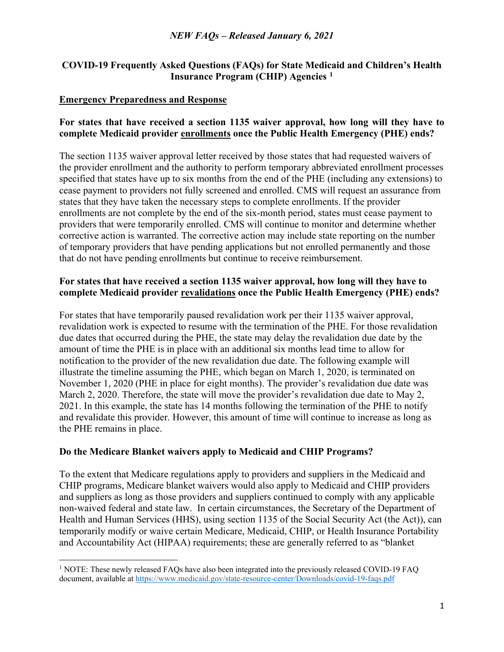# **COVID-19 Frequently Asked Questions (FAQs) for State Medicaid and Children's Health Insurance Program (CHIP) Agencies [1](#page-0-0)**

# **Emergency Preparedness and Response**

# **For states that have received a section 1135 waiver approval, how long will they have to complete Medicaid provider enrollments once the Public Health Emergency (PHE) ends?**

The section 1135 waiver approval letter received by those states that had requested waivers of the provider enrollment and the authority to perform temporary abbreviated enrollment processes specified that states have up to six months from the end of the PHE (including any extensions) to cease payment to providers not fully screened and enrolled. CMS will request an assurance from states that they have taken the necessary steps to complete enrollments. If the provider enrollments are not complete by the end of the six-month period, states must cease payment to providers that were temporarily enrolled. CMS will continue to monitor and determine whether corrective action is warranted. The corrective action may include state reporting on the number of temporary providers that have pending applications but not enrolled permanently and those that do not have pending enrollments but continue to receive reimbursement.

# **For states that have received a section 1135 waiver approval, how long will they have to complete Medicaid provider revalidations once the Public Health Emergency (PHE) ends?**

For states that have temporarily paused revalidation work per their 1135 waiver approval, revalidation work is expected to resume with the termination of the PHE. For those revalidation due dates that occurred during the PHE, the state may delay the revalidation due date by the amount of time the PHE is in place with an additional six months lead time to allow for notification to the provider of the new revalidation due date. The following example will illustrate the timeline assuming the PHE, which began on March 1, 2020, is terminated on November 1, 2020 (PHE in place for eight months). The provider's revalidation due date was March 2, 2020. Therefore, the state will move the provider's revalidation due date to May 2, 2021. In this example, the state has 14 months following the termination of the PHE to notify and revalidate this provider. However, this amount of time will continue to increase as long as the PHE remains in place.

# **Do the Medicare Blanket waivers apply to Medicaid and CHIP Programs?**

To the extent that Medicare regulations apply to providers and suppliers in the Medicaid and CHIP programs, Medicare blanket waivers would also apply to Medicaid and CHIP providers and suppliers as long as those providers and suppliers continued to comply with any applicable non-waived federal and state law. In certain circumstances, the Secretary of the Department of Health and Human Services (HHS), using section 1135 of the Social Security Act (the Act)), can temporarily modify or waive certain Medicare, Medicaid, CHIP, or Health Insurance Portability and Accountability Act (HIPAA) requirements; these are generally referred to as "blanket

<span id="page-0-0"></span><sup>1</sup> NOTE: These newly released FAQs have also been integrated into the previously released COVID-19 FAQ document, available a[t https://www.medicaid.gov/state-resource-center/Downloads/covid-19-faqs.pdf](https://www.medicaid.gov/state-resource-center/Downloads/covid-19-faqs.pdf)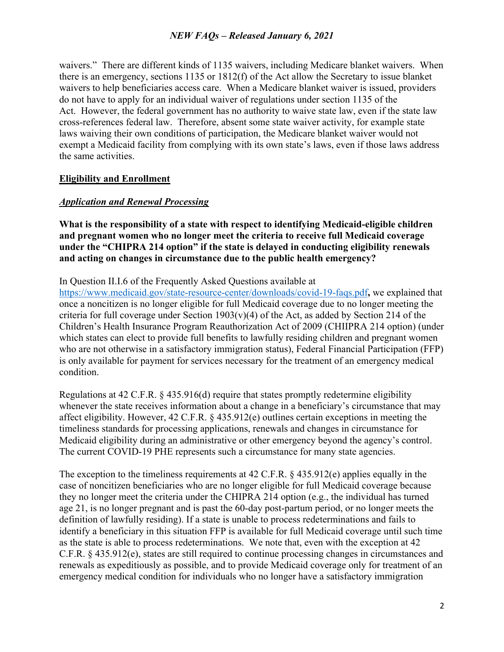waivers." There are different kinds of 1135 waivers, including Medicare blanket waivers. When there is an emergency, sections 1135 or 1812(f) of the Act allow the Secretary to issue blanket waivers to help beneficiaries access care. When a Medicare blanket waiver is issued, providers do not have to apply for an individual waiver of regulations under section 1135 of the Act. However, the federal government has no authority to waive state law, even if the state law cross-references federal law. Therefore, absent some state waiver activity, for example state laws waiving their own conditions of participation, the Medicare blanket waiver would not exempt a Medicaid facility from complying with its own state's laws, even if those laws address the same activities.

#### **Eligibility and Enrollment**

#### *Application and Renewal Processing*

**What is the responsibility of a state with respect to identifying Medicaid-eligible children and pregnant women who no longer meet the criteria to receive full Medicaid coverage under the "CHIPRA 214 option" if the state is delayed in conducting eligibility renewals and acting on changes in circumstance due to the public health emergency?** 

In Question II.I.6 of the Frequently Asked Questions available at

<https://www.medicaid.gov/state-resource-center/downloads/covid-19-faqs.pdf>**,** we explained that once a noncitizen is no longer eligible for full Medicaid coverage due to no longer meeting the criteria for full coverage under Section  $1903(v)(4)$  of the Act, as added by Section 214 of the Children's Health Insurance Program Reauthorization Act of 2009 (CHIIPRA 214 option) (under which states can elect to provide full benefits to lawfully residing children and pregnant women who are not otherwise in a satisfactory immigration status), Federal Financial Participation (FFP) is only available for payment for services necessary for the treatment of an emergency medical condition.

Regulations at 42 C.F.R. § 435.916(d) require that states promptly redetermine eligibility whenever the state receives information about a change in a beneficiary's circumstance that may affect eligibility. However, 42 C.F.R. § 435.912(e) outlines certain exceptions in meeting the timeliness standards for processing applications, renewals and changes in circumstance for Medicaid eligibility during an administrative or other emergency beyond the agency's control. The current COVID-19 PHE represents such a circumstance for many state agencies.

The exception to the timeliness requirements at 42 C.F.R. § 435.912(e) applies equally in the case of noncitizen beneficiaries who are no longer eligible for full Medicaid coverage because they no longer meet the criteria under the CHIPRA 214 option (e.g., the individual has turned age 21, is no longer pregnant and is past the 60-day post-partum period, or no longer meets the definition of lawfully residing). If a state is unable to process redeterminations and fails to identify a beneficiary in this situation FFP is available for full Medicaid coverage until such time as the state is able to process redeterminations. We note that, even with the exception at 42 C.F.R. § 435.912(e), states are still required to continue processing changes in circumstances and renewals as expeditiously as possible, and to provide Medicaid coverage only for treatment of an emergency medical condition for individuals who no longer have a satisfactory immigration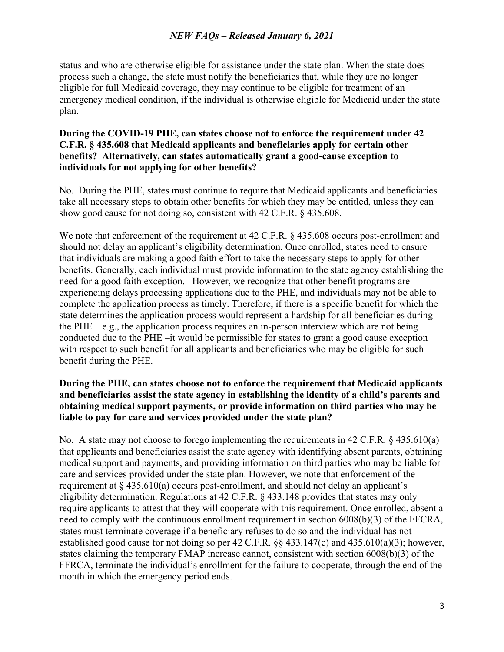status and who are otherwise eligible for assistance under the state plan. When the state does process such a change, the state must notify the beneficiaries that, while they are no longer eligible for full Medicaid coverage, they may continue to be eligible for treatment of an emergency medical condition, if the individual is otherwise eligible for Medicaid under the state plan.

### **During the COVID-19 PHE, can states choose not to enforce the requirement under 42 C.F.R. § 435.608 that Medicaid applicants and beneficiaries apply for certain other benefits? Alternatively, can states automatically grant a good-cause exception to individuals for not applying for other benefits?**

No. During the PHE, states must continue to require that Medicaid applicants and beneficiaries take all necessary steps to obtain other benefits for which they may be entitled, unless they can show good cause for not doing so, consistent with 42 C.F.R. § 435.608.

We note that enforcement of the requirement at 42 C.F.R. § 435.608 occurs post-enrollment and should not delay an applicant's eligibility determination. Once enrolled, states need to ensure that individuals are making a good faith effort to take the necessary steps to apply for other benefits. Generally, each individual must provide information to the state agency establishing the need for a good faith exception. However, we recognize that other benefit programs are experiencing delays processing applications due to the PHE, and individuals may not be able to complete the application process as timely. Therefore, if there is a specific benefit for which the state determines the application process would represent a hardship for all beneficiaries during the PHE – e.g., the application process requires an in-person interview which are not being conducted due to the PHE –it would be permissible for states to grant a good cause exception with respect to such benefit for all applicants and beneficiaries who may be eligible for such benefit during the PHE.

### **During the PHE, can states choose not to enforce the requirement that Medicaid applicants and beneficiaries assist the state agency in establishing the identity of a child's parents and obtaining medical support payments, or provide information on third parties who may be liable to pay for care and services provided under the state plan?**

No. A state may not choose to forego implementing the requirements in 42 C.F.R. § 435.610(a) that applicants and beneficiaries assist the state agency with identifying absent parents, obtaining medical support and payments, and providing information on third parties who may be liable for care and services provided under the state plan. However, we note that enforcement of the requirement at  $\S 435.610(a)$  occurs post-enrollment, and should not delay an applicant's eligibility determination. Regulations at 42 C.F.R. § 433.148 provides that states may only require applicants to attest that they will cooperate with this requirement. Once enrolled, absent a need to comply with the continuous enrollment requirement in section 6008(b)(3) of the FFCRA, states must terminate coverage if a beneficiary refuses to do so and the individual has not established good cause for not doing so per 42 C.F.R. §§ 433.147(c) and 435.610(a)(3); however, states claiming the temporary FMAP increase cannot, consistent with section 6008(b)(3) of the FFRCA, terminate the individual's enrollment for the failure to cooperate, through the end of the month in which the emergency period ends.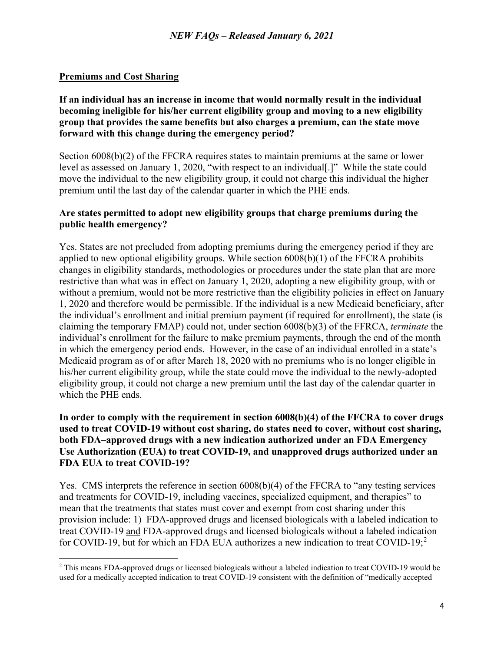### **Premiums and Cost Sharing**

**If an individual has an increase in income that would normally result in the individual becoming ineligible for his/her current eligibility group and moving to a new eligibility group that provides the same benefits but also charges a premium, can the state move forward with this change during the emergency period?**

Section 6008(b)(2) of the FFCRA requires states to maintain premiums at the same or lower level as assessed on January 1, 2020, "with respect to an individual[.]" While the state could move the individual to the new eligibility group, it could not charge this individual the higher premium until the last day of the calendar quarter in which the PHE ends.

### **Are states permitted to adopt new eligibility groups that charge premiums during the public health emergency?**

Yes. States are not precluded from adopting premiums during the emergency period if they are applied to new optional eligibility groups. While section 6008(b)(1) of the FFCRA prohibits changes in eligibility standards, methodologies or procedures under the state plan that are more restrictive than what was in effect on January 1, 2020, adopting a new eligibility group, with or without a premium, would not be more restrictive than the eligibility policies in effect on January 1, 2020 and therefore would be permissible. If the individual is a new Medicaid beneficiary, after the individual's enrollment and initial premium payment (if required for enrollment), the state (is claiming the temporary FMAP) could not, under section 6008(b)(3) of the FFRCA, *terminate* the individual's enrollment for the failure to make premium payments, through the end of the month in which the emergency period ends. However, in the case of an individual enrolled in a state's Medicaid program as of or after March 18, 2020 with no premiums who is no longer eligible in his/her current eligibility group, while the state could move the individual to the newly-adopted eligibility group, it could not charge a new premium until the last day of the calendar quarter in which the PHE ends.

### **In order to comply with the requirement in section 6008(b)(4) of the FFCRA to cover drugs used to treat COVID-19 without cost sharing, do states need to cover, without cost sharing, both FDA–approved drugs with a new indication authorized under an FDA Emergency Use Authorization (EUA) to treat COVID-19, and unapproved drugs authorized under an FDA EUA to treat COVID-19?**

Yes. CMS interprets the reference in section 6008(b)(4) of the FFCRA to "any testing services and treatments for COVID-19, including vaccines, specialized equipment, and therapies" to mean that the treatments that states must cover and exempt from cost sharing under this provision include: 1) FDA-approved drugs and licensed biologicals with a labeled indication to treat COVID-19 and FDA-approved drugs and licensed biologicals without a labeled indication for COVID-19, but for which an FDA EUA authorizes a new indication to treat COVID-19; $^2$  $^2$ 

<span id="page-3-0"></span><sup>&</sup>lt;sup>2</sup> This means FDA-approved drugs or licensed biologicals without a labeled indication to treat COVID-19 would be used for a medically accepted indication to treat COVID-19 consistent with the definition of "medically accepted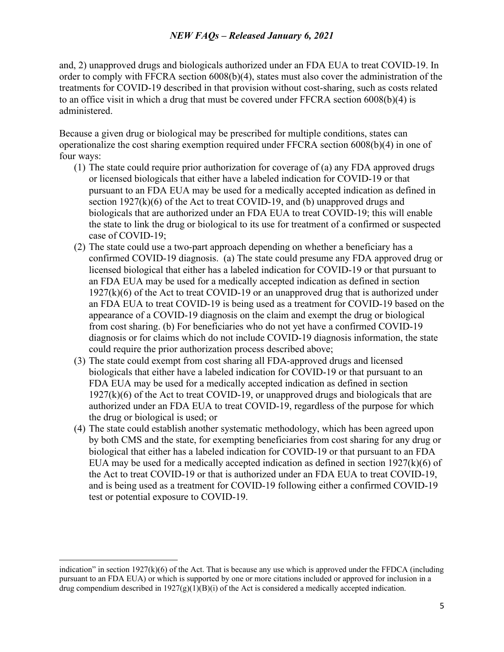and, 2) unapproved drugs and biologicals authorized under an FDA EUA to treat COVID-19. In order to comply with FFCRA section 6008(b)(4), states must also cover the administration of the treatments for COVID-19 described in that provision without cost-sharing, such as costs related to an office visit in which a drug that must be covered under FFCRA section 6008(b)(4) is administered.

Because a given drug or biological may be prescribed for multiple conditions, states can operationalize the cost sharing exemption required under FFCRA section 6008(b)(4) in one of four ways:

- (1) The state could require prior authorization for coverage of (a) any FDA approved drugs or licensed biologicals that either have a labeled indication for COVID-19 or that pursuant to an FDA EUA may be used for a medically accepted indication as defined in section  $1927(k)(6)$  of the Act to treat COVID-19, and (b) unapproved drugs and biologicals that are authorized under an FDA EUA to treat COVID-19; this will enable the state to link the drug or biological to its use for treatment of a confirmed or suspected case of COVID-19;
- (2) The state could use a two-part approach depending on whether a beneficiary has a confirmed COVID-19 diagnosis. (a) The state could presume any FDA approved drug or licensed biological that either has a labeled indication for COVID-19 or that pursuant to an FDA EUA may be used for a medically accepted indication as defined in section 1927(k)(6) of the Act to treat COVID-19 or an unapproved drug that is authorized under an FDA EUA to treat COVID-19 is being used as a treatment for COVID-19 based on the appearance of a COVID-19 diagnosis on the claim and exempt the drug or biological from cost sharing. (b) For beneficiaries who do not yet have a confirmed COVID-19 diagnosis or for claims which do not include COVID-19 diagnosis information, the state could require the prior authorization process described above;
- (3) The state could exempt from cost sharing all FDA-approved drugs and licensed biologicals that either have a labeled indication for COVID-19 or that pursuant to an FDA EUA may be used for a medically accepted indication as defined in section 1927(k)(6) of the Act to treat COVID-19, or unapproved drugs and biologicals that are authorized under an FDA EUA to treat COVID-19, regardless of the purpose for which the drug or biological is used; or
- (4) The state could establish another systematic methodology, which has been agreed upon by both CMS and the state, for exempting beneficiaries from cost sharing for any drug or biological that either has a labeled indication for COVID-19 or that pursuant to an FDA EUA may be used for a medically accepted indication as defined in section  $1927(k)(6)$  of the Act to treat COVID-19 or that is authorized under an FDA EUA to treat COVID-19, and is being used as a treatment for COVID-19 following either a confirmed COVID-19 test or potential exposure to COVID-19.

indication" in section 1927(k)(6) of the Act. That is because any use which is approved under the FFDCA (including pursuant to an FDA EUA) or which is supported by one or more citations included or approved for inclusion in a drug compendium described in  $1927(g)(1)(B)(i)$  of the Act is considered a medically accepted indication.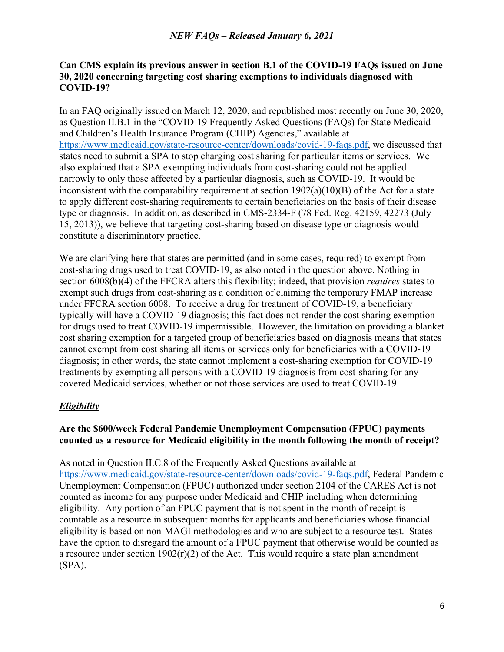### **Can CMS explain its previous answer in section B.1 of the COVID-19 FAQs issued on June 30, 2020 concerning targeting cost sharing exemptions to individuals diagnosed with COVID-19?**

In an FAQ originally issued on March 12, 2020, and republished most recently on June 30, 2020, as Question II.B.1 in the "COVID-19 Frequently Asked Questions (FAQs) for State Medicaid and Children's Health Insurance Program (CHIP) Agencies," available at [https://www.medicaid.gov/state-resource-center/downloads/covid-19-faqs.pdf,](https://www.medicaid.gov/state-resource-center/downloads/covid-19-faqs.pdf) we discussed that states need to submit a SPA to stop charging cost sharing for particular items or services. We also explained that a SPA exempting individuals from cost-sharing could not be applied narrowly to only those affected by a particular diagnosis, such as COVID-19. It would be inconsistent with the comparability requirement at section 1902(a)(10)(B) of the Act for a state to apply different cost-sharing requirements to certain beneficiaries on the basis of their disease type or diagnosis. In addition, as described in CMS-2334-F (78 Fed. Reg. 42159, 42273 (July 15, 2013)), we believe that targeting cost-sharing based on disease type or diagnosis would constitute a discriminatory practice.

We are clarifying here that states are permitted (and in some cases, required) to exempt from cost-sharing drugs used to treat COVID-19, as also noted in the question above. Nothing in section 6008(b)(4) of the FFCRA alters this flexibility; indeed, that provision *requires* states to exempt such drugs from cost-sharing as a condition of claiming the temporary FMAP increase under FFCRA section 6008. To receive a drug for treatment of COVID-19, a beneficiary typically will have a COVID-19 diagnosis; this fact does not render the cost sharing exemption for drugs used to treat COVID-19 impermissible. However, the limitation on providing a blanket cost sharing exemption for a targeted group of beneficiaries based on diagnosis means that states cannot exempt from cost sharing all items or services only for beneficiaries with a COVID-19 diagnosis; in other words, the state cannot implement a cost-sharing exemption for COVID-19 treatments by exempting all persons with a COVID-19 diagnosis from cost-sharing for any covered Medicaid services, whether or not those services are used to treat COVID-19.

# *Eligibility*

#### **Are the \$600/week Federal Pandemic Unemployment Compensation (FPUC) payments counted as a resource for Medicaid eligibility in the month following the month of receipt?**

As noted in Question II.C.8 of the Frequently Asked Questions available at [https://www.medicaid.gov/state-resource-center/downloads/covid-19-faqs.pdf,](https://www.medicaid.gov/state-resource-center/downloads/covid-19-faqs.pdf) Federal Pandemic Unemployment Compensation (FPUC) authorized under section 2104 of the CARES Act is not counted as income for any purpose under Medicaid and CHIP including when determining eligibility. Any portion of an FPUC payment that is not spent in the month of receipt is countable as a resource in subsequent months for applicants and beneficiaries whose financial eligibility is based on non-MAGI methodologies and who are subject to a resource test. States have the option to disregard the amount of a FPUC payment that otherwise would be counted as a resource under section  $1902(r)(2)$  of the Act. This would require a state plan amendment (SPA).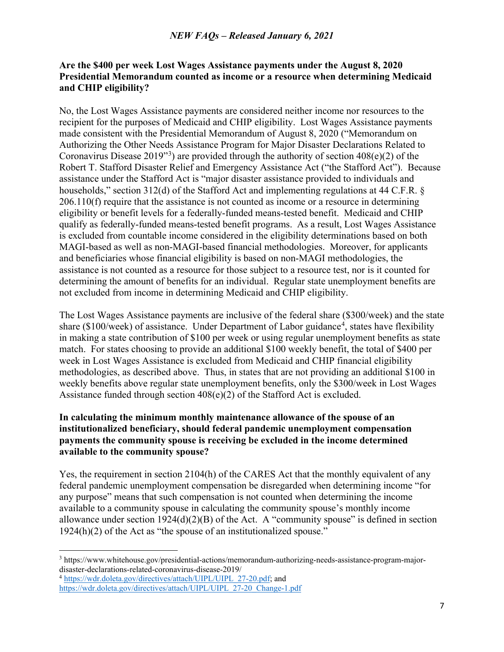### **Are the \$400 per week Lost Wages Assistance payments under the August 8, 2020 Presidential Memorandum counted as income or a resource when determining Medicaid and CHIP eligibility?**

No, the Lost Wages Assistance payments are considered neither income nor resources to the recipient for the purposes of Medicaid and CHIP eligibility. Lost Wages Assistance payments made consistent with the Presidential Memorandum of August 8, 2020 ("Memorandum on Authorizing the Other Needs Assistance Program for Major Disaster Declarations Related to Coronavirus Disease 2019"<sup>[3](#page-6-0)</sup>) are provided through the authority of section  $408(e)(2)$  of the Robert T. Stafford Disaster Relief and Emergency Assistance Act ("the Stafford Act"). Because assistance under the Stafford Act is "major disaster assistance provided to individuals and households," section 312(d) of the Stafford Act and implementing regulations at 44 C.F.R. § 206.110(f) require that the assistance is not counted as income or a resource in determining eligibility or benefit levels for a federally-funded means-tested benefit. Medicaid and CHIP qualify as federally-funded means-tested benefit programs. As a result, Lost Wages Assistance is excluded from countable income considered in the eligibility determinations based on both MAGI-based as well as non-MAGI-based financial methodologies. Moreover, for applicants and beneficiaries whose financial eligibility is based on non-MAGI methodologies, the assistance is not counted as a resource for those subject to a resource test, nor is it counted for determining the amount of benefits for an individual. Regular state unemployment benefits are not excluded from income in determining Medicaid and CHIP eligibility.

The Lost Wages Assistance payments are inclusive of the federal share (\$300/week) and the state share (\$100/week) of assistance. Under Department of Labor guidance<sup>[4](#page-6-1)</sup>, states have flexibility in making a state contribution of \$100 per week or using regular unemployment benefits as state match. For states choosing to provide an additional \$100 weekly benefit, the total of \$400 per week in Lost Wages Assistance is excluded from Medicaid and CHIP financial eligibility methodologies, as described above. Thus, in states that are not providing an additional \$100 in weekly benefits above regular state unemployment benefits, only the \$300/week in Lost Wages Assistance funded through section 408(e)(2) of the Stafford Act is excluded.

### **In calculating the minimum monthly maintenance allowance of the spouse of an institutionalized beneficiary, should federal pandemic unemployment compensation payments the community spouse is receiving be excluded in the income determined available to the community spouse?**

Yes, the requirement in section 2104(h) of the CARES Act that the monthly equivalent of any federal pandemic unemployment compensation be disregarded when determining income "for any purpose" means that such compensation is not counted when determining the income available to a community spouse in calculating the community spouse's monthly income allowance under section  $1924(d)(2)(B)$  of the Act. A "community spouse" is defined in section 1924(h)(2) of the Act as "the spouse of an institutionalized spouse."

<span id="page-6-0"></span><sup>3</sup> https://www.whitehouse.gov/presidential-actions/memorandum-authorizing-needs-assistance-program-majordisaster-declarations-related-coronavirus-disease-2019/

<span id="page-6-1"></span><sup>&</sup>lt;sup>4</sup> [https://wdr.doleta.gov/directives/attach/UIPL/UIPL\\_27-20.pdf;](https://wdr.doleta.gov/directives/attach/UIPL/UIPL_27-20.pdf) and [https://wdr.doleta.gov/directives/attach/UIPL/UIPL\\_27-20\\_Change-1.pdf](https://wdr.doleta.gov/directives/attach/UIPL/UIPL_27-20_Change-1.pdf)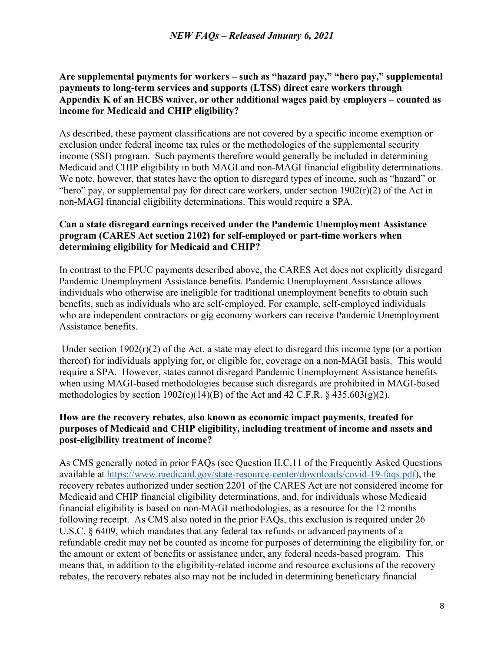# **Are supplemental payments for workers – such as "hazard pay," "hero pay," supplemental payments to long-term services and supports (LTSS) direct care workers through Appendix K of an HCBS waiver, or other additional wages paid by employers – counted as income for Medicaid and CHIP eligibility?**

As described, these payment classifications are not covered by a specific income exemption or exclusion under federal income tax rules or the methodologies of the supplemental security income (SSI) program. Such payments therefore would generally be included in determining Medicaid and CHIP eligibility in both MAGI and non-MAGI financial eligibility determinations. We note, however, that states have the option to disregard types of income, such as "hazard" or "hero" pay, or supplemental pay for direct care workers, under section  $1902(r)(2)$  of the Act in non-MAGI financial eligibility determinations. This would require a SPA.

### **Can a state disregard earnings received under the Pandemic Unemployment Assistance program (CARES Act section 2102) for self-employed or part-time workers when determining eligibility for Medicaid and CHIP?**

In contrast to the FPUC payments described above, the CARES Act does not explicitly disregard Pandemic Unemployment Assistance benefits. Pandemic Unemployment Assistance allows individuals who otherwise are ineligible for traditional unemployment benefits to obtain such benefits, such as individuals who are self-employed. For example, self-employed individuals who are independent contractors or gig economy workers can receive Pandemic Unemployment Assistance benefits.

 Under section 1902(r)(2) of the Act, a state may elect to disregard this income type (or a portion thereof) for individuals applying for, or eligible for, coverage on a non-MAGI basis. This would require a SPA. However, states cannot disregard Pandemic Unemployment Assistance benefits when using MAGI-based methodologies because such disregards are prohibited in MAGI-based methodologies by section  $1902(e)(14)(B)$  of the Act and 42 C.F.R. § 435.603(g)(2).

### **How are the recovery rebates, also known as economic impact payments, treated for purposes of Medicaid and CHIP eligibility, including treatment of income and assets and post-eligibility treatment of income?**

As CMS generally noted in prior FAQs (see Question II.C.11 of the Frequently Asked Questions available at [https://www.medicaid.gov/state-resource-center/downloads/covid-19-faqs.pdf\)](https://www.medicaid.gov/state-resource-center/downloads/covid-19-faqs.pdf), the recovery rebates authorized under section 2201 of the CARES Act are not considered income for Medicaid and CHIP financial eligibility determinations, and, for individuals whose Medicaid financial eligibility is based on non-MAGI methodologies, as a resource for the 12 months following receipt. As CMS also noted in the prior FAQs, this exclusion is required under 26 U.S.C. § 6409, which mandates that any federal tax refunds or advanced payments of a refundable credit may not be counted as income for purposes of determining the eligibility for, or the amount or extent of benefits or assistance under, any federal needs-based program. This means that, in addition to the eligibility-related income and resource exclusions of the recovery rebates, the recovery rebates also may not be included in determining beneficiary financial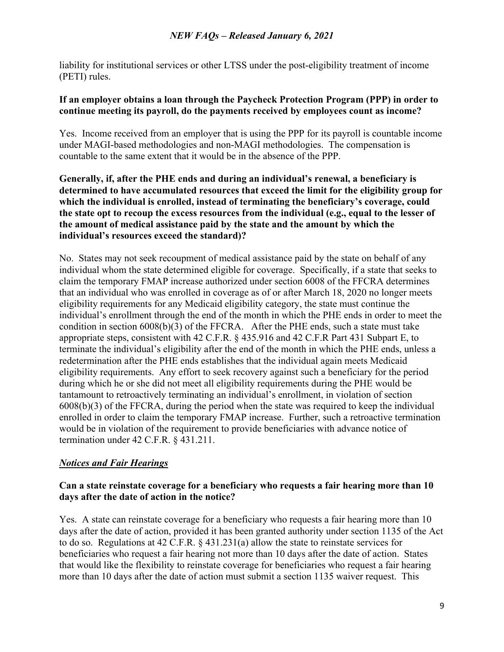liability for institutional services or other LTSS under the post-eligibility treatment of income (PETI) rules.

### **If an employer obtains a loan through the Paycheck Protection Program (PPP) in order to continue meeting its payroll, do the payments received by employees count as income?**

Yes. Income received from an employer that is using the PPP for its payroll is countable income under MAGI-based methodologies and non-MAGI methodologies. The compensation is countable to the same extent that it would be in the absence of the PPP.

# **Generally, if, after the PHE ends and during an individual's renewal, a beneficiary is determined to have accumulated resources that exceed the limit for the eligibility group for which the individual is enrolled, instead of terminating the beneficiary's coverage, could the state opt to recoup the excess resources from the individual (e.g., equal to the lesser of the amount of medical assistance paid by the state and the amount by which the individual's resources exceed the standard)?**

No. States may not seek recoupment of medical assistance paid by the state on behalf of any individual whom the state determined eligible for coverage. Specifically, if a state that seeks to claim the temporary FMAP increase authorized under section 6008 of the FFCRA determines that an individual who was enrolled in coverage as of or after March 18, 2020 no longer meets eligibility requirements for any Medicaid eligibility category, the state must continue the individual's enrollment through the end of the month in which the PHE ends in order to meet the condition in section 6008(b)(3) of the FFCRA. After the PHE ends, such a state must take appropriate steps, consistent with 42 C.F.R. § 435.916 and 42 C.F.R Part 431 Subpart E, to terminate the individual's eligibility after the end of the month in which the PHE ends, unless a redetermination after the PHE ends establishes that the individual again meets Medicaid eligibility requirements. Any effort to seek recovery against such a beneficiary for the period during which he or she did not meet all eligibility requirements during the PHE would be tantamount to retroactively terminating an individual's enrollment, in violation of section 6008(b)(3) of the FFCRA, during the period when the state was required to keep the individual enrolled in order to claim the temporary FMAP increase. Further, such a retroactive termination would be in violation of the requirement to provide beneficiaries with advance notice of termination under 42 C.F.R. § 431.211.

# *Notices and Fair Hearings*

# **Can a state reinstate coverage for a beneficiary who requests a fair hearing more than 10 days after the date of action in the notice?**

Yes. A state can reinstate coverage for a beneficiary who requests a fair hearing more than 10 days after the date of action, provided it has been granted authority under section 1135 of the Act to do so. Regulations at 42 C.F.R. § 431.231(a) allow the state to reinstate services for beneficiaries who request a fair hearing not more than 10 days after the date of action. States that would like the flexibility to reinstate coverage for beneficiaries who request a fair hearing more than 10 days after the date of action must submit a section 1135 waiver request. This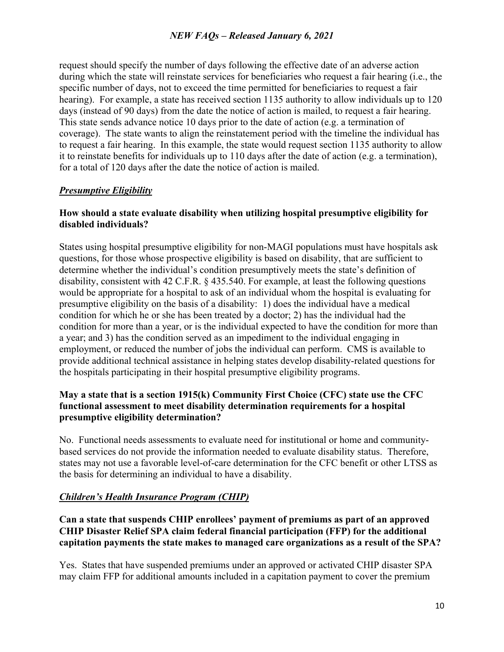request should specify the number of days following the effective date of an adverse action during which the state will reinstate services for beneficiaries who request a fair hearing (i.e., the specific number of days, not to exceed the time permitted for beneficiaries to request a fair hearing). For example, a state has received section 1135 authority to allow individuals up to 120 days (instead of 90 days) from the date the notice of action is mailed, to request a fair hearing. This state sends advance notice 10 days prior to the date of action (e.g. a termination of coverage). The state wants to align the reinstatement period with the timeline the individual has to request a fair hearing. In this example, the state would request section 1135 authority to allow it to reinstate benefits for individuals up to 110 days after the date of action (e.g. a termination), for a total of 120 days after the date the notice of action is mailed.

### *Presumptive Eligibility*

### **How should a state evaluate disability when utilizing hospital presumptive eligibility for disabled individuals?**

States using hospital presumptive eligibility for non-MAGI populations must have hospitals ask questions, for those whose prospective eligibility is based on disability, that are sufficient to determine whether the individual's condition presumptively meets the state's definition of disability, consistent with 42 C.F.R. § 435.540. For example, at least the following questions would be appropriate for a hospital to ask of an individual whom the hospital is evaluating for presumptive eligibility on the basis of a disability: 1) does the individual have a medical condition for which he or she has been treated by a doctor; 2) has the individual had the condition for more than a year, or is the individual expected to have the condition for more than a year; and 3) has the condition served as an impediment to the individual engaging in employment, or reduced the number of jobs the individual can perform. CMS is available to provide additional technical assistance in helping states develop disability-related questions for the hospitals participating in their hospital presumptive eligibility programs.

### **May a state that is a section 1915(k) Community First Choice (CFC) state use the CFC functional assessment to meet disability determination requirements for a hospital presumptive eligibility determination?**

No. Functional needs assessments to evaluate need for institutional or home and communitybased services do not provide the information needed to evaluate disability status. Therefore, states may not use a favorable level-of-care determination for the CFC benefit or other LTSS as the basis for determining an individual to have a disability.

#### *Children's Health Insurance Program (CHIP)*

**Can a state that suspends CHIP enrollees' payment of premiums as part of an approved CHIP Disaster Relief SPA claim federal financial participation (FFP) for the additional capitation payments the state makes to managed care organizations as a result of the SPA?** 

Yes. States that have suspended premiums under an approved or activated CHIP disaster SPA may claim FFP for additional amounts included in a capitation payment to cover the premium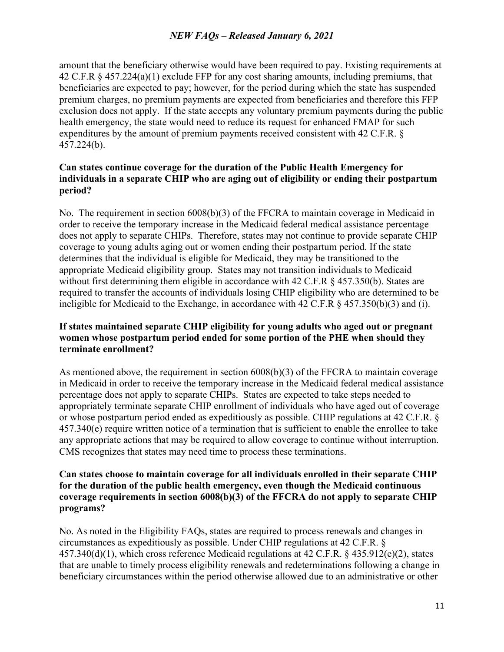amount that the beneficiary otherwise would have been required to pay. Existing requirements at 42 C.F.R § 457.224(a)(1) exclude FFP for any cost sharing amounts, including premiums, that beneficiaries are expected to pay; however, for the period during which the state has suspended premium charges, no premium payments are expected from beneficiaries and therefore this FFP exclusion does not apply. If the state accepts any voluntary premium payments during the public health emergency, the state would need to reduce its request for enhanced FMAP for such expenditures by the amount of premium payments received consistent with 42 C.F.R. § 457.224(b).

### **Can states continue coverage for the duration of the Public Health Emergency for individuals in a separate CHIP who are aging out of eligibility or ending their postpartum period?**

No. The requirement in section 6008(b)(3) of the FFCRA to maintain coverage in Medicaid in order to receive the temporary increase in the Medicaid federal medical assistance percentage does not apply to separate CHIPs. Therefore, states may not continue to provide separate CHIP coverage to young adults aging out or women ending their postpartum period. If the state determines that the individual is eligible for Medicaid, they may be transitioned to the appropriate Medicaid eligibility group. States may not transition individuals to Medicaid without first determining them eligible in accordance with 42 C.F.R § 457.350(b). States are required to transfer the accounts of individuals losing CHIP eligibility who are determined to be ineligible for Medicaid to the Exchange, in accordance with 42 C.F.R § 457.350(b)(3) and (i).

### **If states maintained separate CHIP eligibility for young adults who aged out or pregnant women whose postpartum period ended for some portion of the PHE when should they terminate enrollment?**

As mentioned above, the requirement in section 6008(b)(3) of the FFCRA to maintain coverage in Medicaid in order to receive the temporary increase in the Medicaid federal medical assistance percentage does not apply to separate CHIPs. States are expected to take steps needed to appropriately terminate separate CHIP enrollment of individuals who have aged out of coverage or whose postpartum period ended as expeditiously as possible. CHIP regulations at 42 C.F.R. § 457.340(e) require written notice of a termination that is sufficient to enable the enrollee to take any appropriate actions that may be required to allow coverage to continue without interruption. CMS recognizes that states may need time to process these terminations.

#### **Can states choose to maintain coverage for all individuals enrolled in their separate CHIP for the duration of the public health emergency, even though the Medicaid continuous coverage requirements in section 6008(b)(3) of the FFCRA do not apply to separate CHIP programs?**

No. As noted in the Eligibility FAQs, states are required to process renewals and changes in circumstances as expeditiously as possible. Under CHIP regulations at 42 C.F.R. § 457.340(d)(1), which cross reference Medicaid regulations at 42 C.F.R. § 435.912(e)(2), states that are unable to timely process eligibility renewals and redeterminations following a change in beneficiary circumstances within the period otherwise allowed due to an administrative or other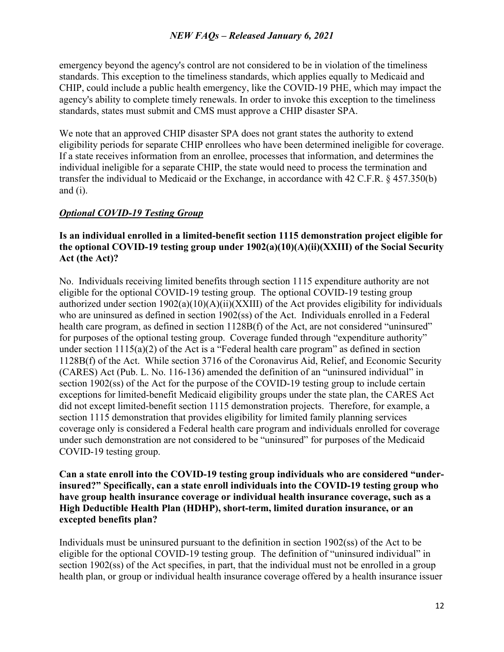emergency beyond the agency's control are not considered to be in violation of the timeliness standards. This exception to the timeliness standards, which applies equally to Medicaid and CHIP, could include a public health emergency, like the COVID-19 PHE, which may impact the agency's ability to complete timely renewals. In order to invoke this exception to the timeliness standards, states must submit and CMS must approve a CHIP disaster SPA.

We note that an approved CHIP disaster SPA does not grant states the authority to extend eligibility periods for separate CHIP enrollees who have been determined ineligible for coverage. If a state receives information from an enrollee, processes that information, and determines the individual ineligible for a separate CHIP, the state would need to process the termination and transfer the individual to Medicaid or the Exchange, in accordance with 42 C.F.R. § 457.350(b) and (i).

### *Optional COVID-19 Testing Group*

# **Is an individual enrolled in a limited-benefit section 1115 demonstration project eligible for the optional COVID-19 testing group under 1902(a)(10)(A)(ii)(XXIII) of the Social Security Act (the Act)?**

No. Individuals receiving limited benefits through section 1115 expenditure authority are not eligible for the optional COVID-19 testing group. The optional COVID-19 testing group authorized under section 1902(a)(10)(A)(ii)(XXIII) of the Act provides eligibility for individuals who are uninsured as defined in section 1902(ss) of the Act. Individuals enrolled in a Federal health care program, as defined in section 1128B(f) of the Act, are not considered "uninsured" for purposes of the optional testing group. Coverage funded through "expenditure authority" under section  $1115(a)(2)$  of the Act is a "Federal health care program" as defined in section 1128B(f) of the Act. While section 3716 of the Coronavirus Aid, Relief, and Economic Security (CARES) Act (Pub. L. No. 116-136) amended the definition of an "uninsured individual" in section 1902(ss) of the Act for the purpose of the COVID-19 testing group to include certain exceptions for limited-benefit Medicaid eligibility groups under the state plan, the CARES Act did not except limited-benefit section 1115 demonstration projects. Therefore, for example, a section 1115 demonstration that provides eligibility for limited family planning services coverage only is considered a Federal health care program and individuals enrolled for coverage under such demonstration are not considered to be "uninsured" for purposes of the Medicaid COVID-19 testing group.

### **Can a state enroll into the COVID-19 testing group individuals who are considered "underinsured?" Specifically, can a state enroll individuals into the COVID-19 testing group who have group health insurance coverage or individual health insurance coverage, such as a High Deductible Health Plan (HDHP), short-term, limited duration insurance, or an excepted benefits plan?**

Individuals must be uninsured pursuant to the definition in section 1902(ss) of the Act to be eligible for the optional COVID-19 testing group. The definition of "uninsured individual" in section 1902(ss) of the Act specifies, in part, that the individual must not be enrolled in a group health plan, or group or individual health insurance coverage offered by a health insurance issuer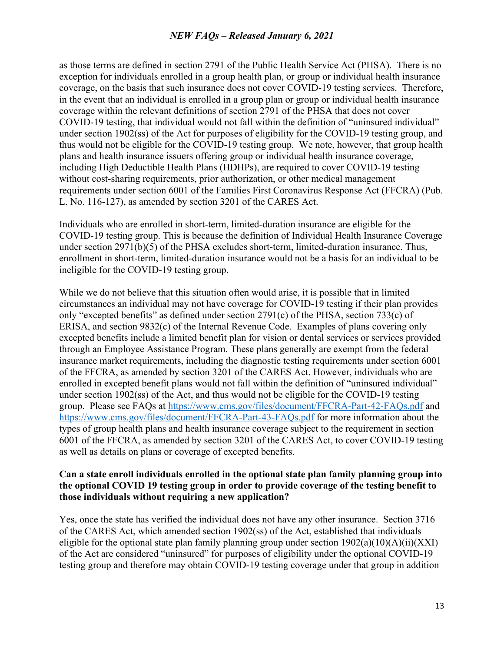as those terms are defined in section 2791 of the Public Health Service Act (PHSA). There is no exception for individuals enrolled in a group health plan, or group or individual health insurance coverage, on the basis that such insurance does not cover COVID-19 testing services. Therefore, in the event that an individual is enrolled in a group plan or group or individual health insurance coverage within the relevant definitions of section 2791 of the PHSA that does not cover COVID-19 testing, that individual would not fall within the definition of "uninsured individual" under section 1902(ss) of the Act for purposes of eligibility for the COVID-19 testing group, and thus would not be eligible for the COVID-19 testing group. We note, however, that group health plans and health insurance issuers offering group or individual health insurance coverage, including High Deductible Health Plans (HDHPs), are required to cover COVID-19 testing without cost-sharing requirements, prior authorization, or other medical management requirements under section 6001 of the Families First Coronavirus Response Act (FFCRA) (Pub. L. No. 116-127), as amended by section 3201 of the CARES Act.

Individuals who are enrolled in short-term, limited-duration insurance are eligible for the COVID-19 testing group. This is because the definition of Individual Health Insurance Coverage under section 2971(b)(5) of the PHSA excludes short-term, limited-duration insurance. Thus, enrollment in short-term, limited-duration insurance would not be a basis for an individual to be ineligible for the COVID-19 testing group.

While we do not believe that this situation often would arise, it is possible that in limited circumstances an individual may not have coverage for COVID-19 testing if their plan provides only "excepted benefits" as defined under section 2791(c) of the PHSA, section 733(c) of ERISA, and section 9832(c) of the Internal Revenue Code. Examples of plans covering only excepted benefits include a limited benefit plan for vision or dental services or services provided through an Employee Assistance Program. These plans generally are exempt from the federal insurance market requirements, including the diagnostic testing requirements under section 6001 of the FFCRA, as amended by section 3201 of the CARES Act. However, individuals who are enrolled in excepted benefit plans would not fall within the definition of "uninsured individual" under section 1902(ss) of the Act, and thus would not be eligible for the COVID-19 testing group. Please see FAQs at<https://www.cms.gov/files/document/FFCRA-Part-42-FAQs.pdf>and <https://www.cms.gov/files/document/FFCRA-Part-43-FAQs.pdf> for more information about the types of group health plans and health insurance coverage subject to the requirement in section 6001 of the FFCRA, as amended by section 3201 of the CARES Act, to cover COVID-19 testing as well as details on plans or coverage of excepted benefits.

### **Can a state enroll individuals enrolled in the optional state plan family planning group into the optional COVID 19 testing group in order to provide coverage of the testing benefit to those individuals without requiring a new application?**

Yes, once the state has verified the individual does not have any other insurance. Section 3716 of the CARES Act, which amended section 1902(ss) of the Act, established that individuals eligible for the optional state plan family planning group under section  $1902(a)(10)(A)(ii)(XXI)$ of the Act are considered "uninsured" for purposes of eligibility under the optional COVID-19 testing group and therefore may obtain COVID-19 testing coverage under that group in addition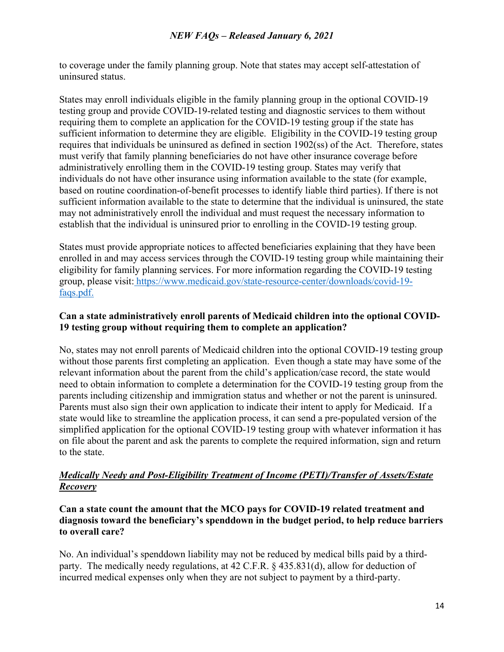to coverage under the family planning group. Note that states may accept self-attestation of uninsured status.

States may enroll individuals eligible in the family planning group in the optional COVID-19 testing group and provide COVID-19-related testing and diagnostic services to them without requiring them to complete an application for the COVID-19 testing group if the state has sufficient information to determine they are eligible. Eligibility in the COVID-19 testing group requires that individuals be uninsured as defined in section 1902(ss) of the Act. Therefore, states must verify that family planning beneficiaries do not have other insurance coverage before administratively enrolling them in the COVID-19 testing group. States may verify that individuals do not have other insurance using information available to the state (for example, based on routine coordination-of-benefit processes to identify liable third parties). If there is not sufficient information available to the state to determine that the individual is uninsured, the state may not administratively enroll the individual and must request the necessary information to establish that the individual is uninsured prior to enrolling in the COVID-19 testing group.

States must provide appropriate notices to affected beneficiaries explaining that they have been enrolled in and may access services through the COVID-19 testing group while maintaining their eligibility for family planning services. For more information regarding the COVID-19 testing group, please visit: [https://www.medicaid.gov/state-resource-center/downloads/covid-19](https://www.medicaid.gov/state-resource-center/downloads/covid-19-faqs.pdf.) [faqs.pdf.](https://www.medicaid.gov/state-resource-center/downloads/covid-19-faqs.pdf.) 

### **Can a state administratively enroll parents of Medicaid children into the optional COVID-19 testing group without requiring them to complete an application?**

No, states may not enroll parents of Medicaid children into the optional COVID-19 testing group without those parents first completing an application. Even though a state may have some of the relevant information about the parent from the child's application/case record, the state would need to obtain information to complete a determination for the COVID-19 testing group from the parents including citizenship and immigration status and whether or not the parent is uninsured. Parents must also sign their own application to indicate their intent to apply for Medicaid. If a state would like to streamline the application process, it can send a pre-populated version of the simplified application for the optional COVID-19 testing group with whatever information it has on file about the parent and ask the parents to complete the required information, sign and return to the state.

### *Medically Needy and Post-Eligibility Treatment of Income (PETI)/Transfer of Assets/Estate Recovery*

### **Can a state count the amount that the MCO pays for COVID-19 related treatment and diagnosis toward the beneficiary's spenddown in the budget period, to help reduce barriers to overall care?**

No. An individual's spenddown liability may not be reduced by medical bills paid by a thirdparty. The medically needy regulations, at 42 C.F.R. § 435.831(d), allow for deduction of incurred medical expenses only when they are not subject to payment by a third-party.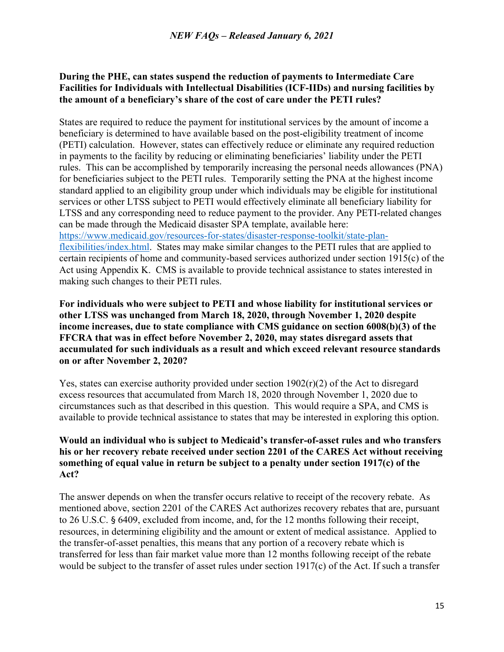### **During the PHE, can states suspend the reduction of payments to Intermediate Care Facilities for Individuals with Intellectual Disabilities (ICF-IIDs) and nursing facilities by the amount of a beneficiary's share of the cost of care under the PETI rules?**

States are required to reduce the payment for institutional services by the amount of income a beneficiary is determined to have available based on the post-eligibility treatment of income (PETI) calculation. However, states can effectively reduce or eliminate any required reduction in payments to the facility by reducing or eliminating beneficiaries' liability under the PETI rules. This can be accomplished by temporarily increasing the personal needs allowances (PNA) for beneficiaries subject to the PETI rules. Temporarily setting the PNA at the highest income standard applied to an eligibility group under which individuals may be eligible for institutional services or other LTSS subject to PETI would effectively eliminate all beneficiary liability for LTSS and any corresponding need to reduce payment to the provider. Any PETI-related changes can be made through the Medicaid disaster SPA template, available here: [https://www.medicaid.gov/resources-for-states/disaster-response-toolkit/state-plan](https://www.medicaid.gov/resources-for-states/disaster-response-toolkit/state-plan-flexibilities/index.html)[flexibilities/index.html.](https://www.medicaid.gov/resources-for-states/disaster-response-toolkit/state-plan-flexibilities/index.html) States may make similar changes to the PETI rules that are applied to

certain recipients of home and community-based services authorized under section 1915(c) of the Act using Appendix K. CMS is available to provide technical assistance to states interested in making such changes to their PETI rules.

**For individuals who were subject to PETI and whose liability for institutional services or other LTSS was unchanged from March 18, 2020, through November 1, 2020 despite income increases, due to state compliance with CMS guidance on section 6008(b)(3) of the FFCRA that was in effect before November 2, 2020, may states disregard assets that accumulated for such individuals as a result and which exceed relevant resource standards on or after November 2, 2020?** 

Yes, states can exercise authority provided under section  $1902(r)(2)$  of the Act to disregard excess resources that accumulated from March 18, 2020 through November 1, 2020 due to circumstances such as that described in this question. This would require a SPA, and CMS is available to provide technical assistance to states that may be interested in exploring this option.

### **Would an individual who is subject to Medicaid's transfer-of-asset rules and who transfers his or her recovery rebate received under section 2201 of the CARES Act without receiving something of equal value in return be subject to a penalty under section 1917(c) of the Act?**

The answer depends on when the transfer occurs relative to receipt of the recovery rebate. As mentioned above, section 2201 of the CARES Act authorizes recovery rebates that are, pursuant to 26 U.S.C. § 6409, excluded from income, and, for the 12 months following their receipt, resources, in determining eligibility and the amount or extent of medical assistance. Applied to the transfer-of-asset penalties, this means that any portion of a recovery rebate which is transferred for less than fair market value more than 12 months following receipt of the rebate would be subject to the transfer of asset rules under section 1917(c) of the Act. If such a transfer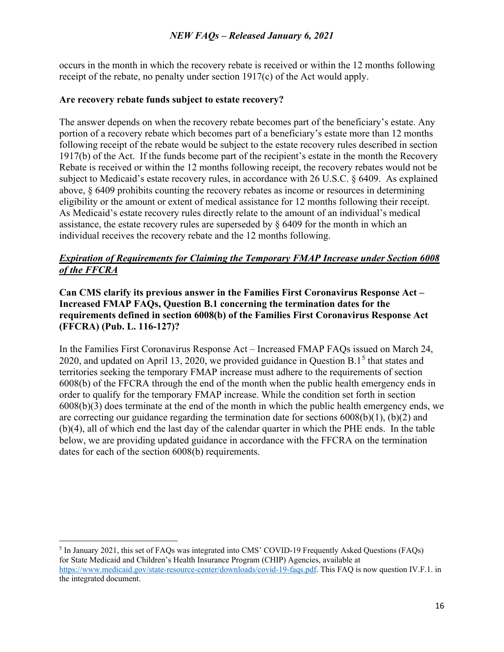occurs in the month in which the recovery rebate is received or within the 12 months following receipt of the rebate, no penalty under section  $1917(c)$  of the Act would apply.

#### **Are recovery rebate funds subject to estate recovery?**

The answer depends on when the recovery rebate becomes part of the beneficiary's estate. Any portion of a recovery rebate which becomes part of a beneficiary's estate more than 12 months following receipt of the rebate would be subject to the estate recovery rules described in section 1917(b) of the Act. If the funds become part of the recipient's estate in the month the Recovery Rebate is received or within the 12 months following receipt, the recovery rebates would not be subject to Medicaid's estate recovery rules, in accordance with 26 U.S.C. § 6409. As explained above, § 6409 prohibits counting the recovery rebates as income or resources in determining eligibility or the amount or extent of medical assistance for 12 months following their receipt. As Medicaid's estate recovery rules directly relate to the amount of an individual's medical assistance, the estate recovery rules are superseded by  $\S$  6409 for the month in which an individual receives the recovery rebate and the 12 months following.

### *Expiration of Requirements for Claiming the Temporary FMAP Increase under Section 6008 of the FFCRA*

**Can CMS clarify its previous answer in the Families First Coronavirus Response Act – Increased FMAP FAQs, Question B.1 concerning the termination dates for the requirements defined in section 6008(b) of the Families First Coronavirus Response Act (FFCRA) (Pub. L. 116-127)?** 

In the Families First Coronavirus Response Act – Increased FMAP FAQs issued on March 24, 2020, and updated on April 13, 2020, we provided guidance in Question B.1<sup>[5](#page-15-0)</sup> that states and territories seeking the temporary FMAP increase must adhere to the requirements of section 6008(b) of the FFCRA through the end of the month when the public health emergency ends in order to qualify for the temporary FMAP increase. While the condition set forth in section 6008(b)(3) does terminate at the end of the month in which the public health emergency ends, we are correcting our guidance regarding the termination date for sections 6008(b)(1), (b)(2) and (b)(4), all of which end the last day of the calendar quarter in which the PHE ends. In the table below, we are providing updated guidance in accordance with the FFCRA on the termination dates for each of the section 6008(b) requirements.

<span id="page-15-0"></span><sup>5</sup> In January 2021, this set of FAQs was integrated into CMS' COVID-19 Frequently Asked Questions (FAQs) for State Medicaid and Children's Health Insurance Program (CHIP) Agencies, available at [https://www.medicaid.gov/state-resource-center/downloads/covid-19-faqs.pdf.](https://www.medicaid.gov/state-resource-center/downloads/covid-19-faqs.pdf) This FAQ is now question IV.F.1. in the integrated document.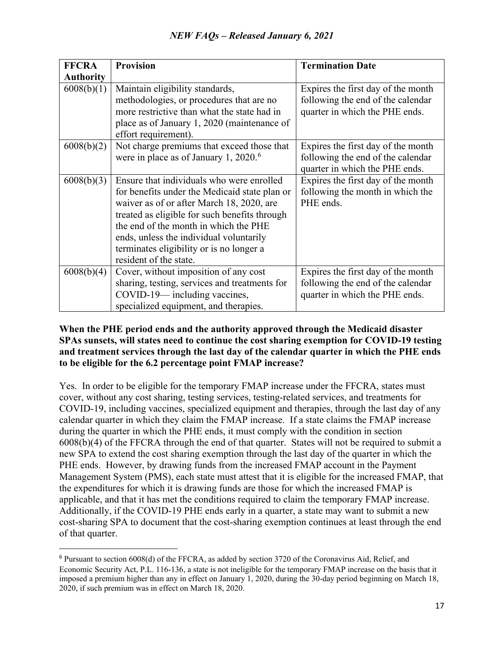| <b>FFCRA</b>     | <b>Provision</b>                                  | <b>Termination Date</b>            |
|------------------|---------------------------------------------------|------------------------------------|
| <b>Authority</b> |                                                   |                                    |
| 6008(b)(1)       | Maintain eligibility standards,                   | Expires the first day of the month |
|                  | methodologies, or procedures that are no          | following the end of the calendar  |
|                  | more restrictive than what the state had in       | quarter in which the PHE ends.     |
|                  | place as of January 1, 2020 (maintenance of       |                                    |
|                  | effort requirement).                              |                                    |
| 6008(b)(2)       | Not charge premiums that exceed those that        | Expires the first day of the month |
|                  | were in place as of January 1, 2020. <sup>6</sup> | following the end of the calendar  |
|                  |                                                   | quarter in which the PHE ends.     |
| 6008(b)(3)       | Ensure that individuals who were enrolled         | Expires the first day of the month |
|                  | for benefits under the Medicaid state plan or     | following the month in which the   |
|                  | waiver as of or after March 18, 2020, are         | PHE ends.                          |
|                  | treated as eligible for such benefits through     |                                    |
|                  | the end of the month in which the PHE             |                                    |
|                  | ends, unless the individual voluntarily           |                                    |
|                  | terminates eligibility or is no longer a          |                                    |
|                  | resident of the state.                            |                                    |
| 6008(b)(4)       | Cover, without imposition of any cost             | Expires the first day of the month |
|                  | sharing, testing, services and treatments for     | following the end of the calendar  |
|                  | COVID-19— including vaccines,                     | quarter in which the PHE ends.     |
|                  | specialized equipment, and therapies.             |                                    |

### **When the PHE period ends and the authority approved through the Medicaid disaster SPAs sunsets, will states need to continue the cost sharing exemption for COVID-19 testing and treatment services through the last day of the calendar quarter in which the PHE ends to be eligible for the 6.2 percentage point FMAP increase?**

Yes. In order to be eligible for the temporary FMAP increase under the FFCRA, states must cover, without any cost sharing, testing services, testing-related services, and treatments for COVID-19, including vaccines, specialized equipment and therapies, through the last day of any calendar quarter in which they claim the FMAP increase. If a state claims the FMAP increase during the quarter in which the PHE ends, it must comply with the condition in section 6008(b)(4) of the FFCRA through the end of that quarter. States will not be required to submit a new SPA to extend the cost sharing exemption through the last day of the quarter in which the PHE ends. However, by drawing funds from the increased FMAP account in the Payment Management System (PMS), each state must attest that it is eligible for the increased FMAP, that the expenditures for which it is drawing funds are those for which the increased FMAP is applicable, and that it has met the conditions required to claim the temporary FMAP increase. Additionally, if the COVID-19 PHE ends early in a quarter, a state may want to submit a new cost-sharing SPA to document that the cost-sharing exemption continues at least through the end of that quarter.

<span id="page-16-0"></span> $6$  Pursuant to section 6008(d) of the FFCRA, as added by section 3720 of the Coronavirus Aid, Relief, and Economic Security Act, P.L. 116-136, a state is not ineligible for the temporary FMAP increase on the basis that it imposed a premium higher than any in effect on January 1, 2020, during the 30-day period beginning on March 18, 2020, if such premium was in effect on March 18, 2020.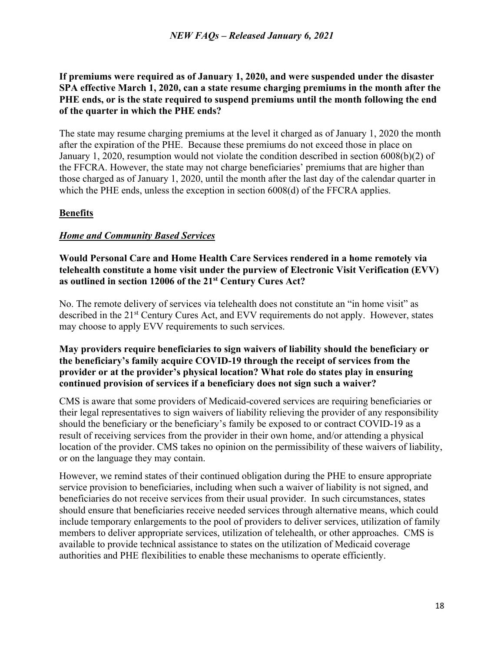## **If premiums were required as of January 1, 2020, and were suspended under the disaster SPA effective March 1, 2020, can a state resume charging premiums in the month after the PHE ends, or is the state required to suspend premiums until the month following the end of the quarter in which the PHE ends?**

The state may resume charging premiums at the level it charged as of January 1, 2020 the month after the expiration of the PHE. Because these premiums do not exceed those in place on January 1, 2020, resumption would not violate the condition described in section 6008(b)(2) of the FFCRA. However, the state may not charge beneficiaries' premiums that are higher than those charged as of January 1, 2020, until the month after the last day of the calendar quarter in which the PHE ends, unless the exception in section 6008(d) of the FFCRA applies.

# **Benefits**

#### *Home and Community Based Services*

**Would Personal Care and Home Health Care Services rendered in a home remotely via telehealth constitute a home visit under the purview of Electronic Visit Verification (EVV) as outlined in section 12006 of the 21st Century Cures Act?**

No. The remote delivery of services via telehealth does not constitute an "in home visit" as described in the 21<sup>st</sup> Century Cures Act, and EVV requirements do not apply. However, states may choose to apply EVV requirements to such services.

### **May providers require beneficiaries to sign waivers of liability should the beneficiary or the beneficiary's family acquire COVID-19 through the receipt of services from the provider or at the provider's physical location? What role do states play in ensuring continued provision of services if a beneficiary does not sign such a waiver?**

CMS is aware that some providers of Medicaid-covered services are requiring beneficiaries or their legal representatives to sign waivers of liability relieving the provider of any responsibility should the beneficiary or the beneficiary's family be exposed to or contract COVID-19 as a result of receiving services from the provider in their own home, and/or attending a physical location of the provider. CMS takes no opinion on the permissibility of these waivers of liability, or on the language they may contain.

However, we remind states of their continued obligation during the PHE to ensure appropriate service provision to beneficiaries, including when such a waiver of liability is not signed, and beneficiaries do not receive services from their usual provider. In such circumstances, states should ensure that beneficiaries receive needed services through alternative means, which could include temporary enlargements to the pool of providers to deliver services, utilization of family members to deliver appropriate services, utilization of telehealth, or other approaches. CMS is available to provide technical assistance to states on the utilization of Medicaid coverage authorities and PHE flexibilities to enable these mechanisms to operate efficiently.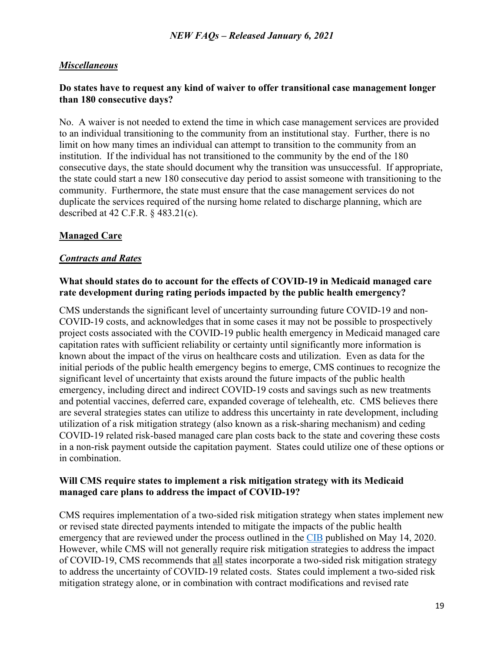### *Miscellaneous*

#### **Do states have to request any kind of waiver to offer transitional case management longer than 180 consecutive days?**

No. A waiver is not needed to extend the time in which case management services are provided to an individual transitioning to the community from an institutional stay. Further, there is no limit on how many times an individual can attempt to transition to the community from an institution. If the individual has not transitioned to the community by the end of the 180 consecutive days, the state should document why the transition was unsuccessful. If appropriate, the state could start a new 180 consecutive day period to assist someone with transitioning to the community. Furthermore, the state must ensure that the case management services do not duplicate the services required of the nursing home related to discharge planning, which are described at 42 C.F.R. § 483.21(c).

#### **Managed Care**

#### *Contracts and Rates*

### **What should states do to account for the effects of COVID-19 in Medicaid managed care rate development during rating periods impacted by the public health emergency?**

CMS understands the significant level of uncertainty surrounding future COVID-19 and non-COVID-19 costs, and acknowledges that in some cases it may not be possible to prospectively project costs associated with the COVID-19 public health emergency in Medicaid managed care capitation rates with sufficient reliability or certainty until significantly more information is known about the impact of the virus on healthcare costs and utilization. Even as data for the initial periods of the public health emergency begins to emerge, CMS continues to recognize the significant level of uncertainty that exists around the future impacts of the public health emergency, including direct and indirect COVID-19 costs and savings such as new treatments and potential vaccines, deferred care, expanded coverage of telehealth, etc. CMS believes there are several strategies states can utilize to address this uncertainty in rate development, including utilization of a risk mitigation strategy (also known as a risk-sharing mechanism) and ceding COVID-19 related risk-based managed care plan costs back to the state and covering these costs in a non-risk payment outside the capitation payment. States could utilize one of these options or in combination.

#### **Will CMS require states to implement a risk mitigation strategy with its Medicaid managed care plans to address the impact of COVID-19?**

CMS requires implementation of a two-sided risk mitigation strategy when states implement new or revised state directed payments intended to mitigate the impacts of the public health emergency that are reviewed under the process outlined in the [CIB](https://www.medicaid.gov/sites/default/files/Federal-Policy-Guidance/Downloads/cib051420.pdf) published on May 14, 2020. However, while CMS will not generally require risk mitigation strategies to address the impact of COVID-19, CMS recommends that all states incorporate a two-sided risk mitigation strategy to address the uncertainty of COVID-19 related costs. States could implement a two-sided risk mitigation strategy alone, or in combination with contract modifications and revised rate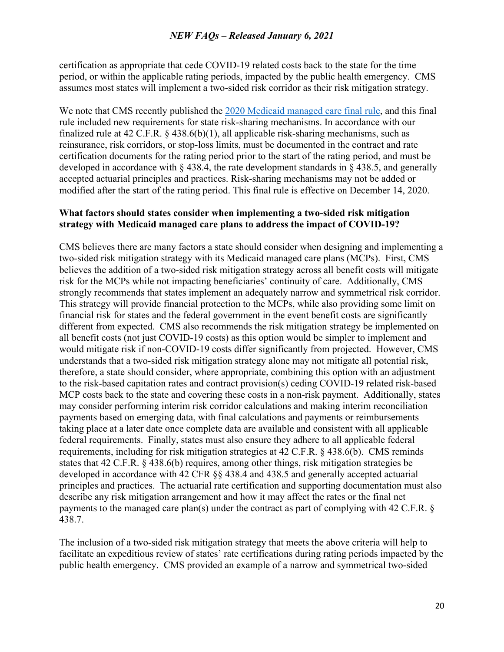certification as appropriate that cede COVID-19 related costs back to the state for the time period, or within the applicable rating periods, impacted by the public health emergency. CMS assumes most states will implement a two-sided risk corridor as their risk mitigation strategy.

We note that CMS recently published the [2020 Medicaid managed care final rule,](https://www.federalregister.gov/documents/2020/11/13/2020-24758/medicaid-program-medicaid-and-childrens-health-insurance-program-chip-managed-care) and this final rule included new requirements for state risk-sharing mechanisms. In accordance with our finalized rule at 42 C.F.R.  $\S$  438.6(b)(1), all applicable risk-sharing mechanisms, such as reinsurance, risk corridors, or stop-loss limits, must be documented in the contract and rate certification documents for the rating period prior to the start of the rating period, and must be developed in accordance with § 438.4, the rate development standards in § 438.5, and generally accepted actuarial principles and practices. Risk-sharing mechanisms may not be added or modified after the start of the rating period. This final rule is effective on December 14, 2020.

### **What factors should states consider when implementing a two-sided risk mitigation strategy with Medicaid managed care plans to address the impact of COVID-19?**

CMS believes there are many factors a state should consider when designing and implementing a two-sided risk mitigation strategy with its Medicaid managed care plans (MCPs). First, CMS believes the addition of a two-sided risk mitigation strategy across all benefit costs will mitigate risk for the MCPs while not impacting beneficiaries' continuity of care. Additionally, CMS strongly recommends that states implement an adequately narrow and symmetrical risk corridor. This strategy will provide financial protection to the MCPs, while also providing some limit on financial risk for states and the federal government in the event benefit costs are significantly different from expected. CMS also recommends the risk mitigation strategy be implemented on all benefit costs (not just COVID-19 costs) as this option would be simpler to implement and would mitigate risk if non-COVID-19 costs differ significantly from projected. However, CMS understands that a two-sided risk mitigation strategy alone may not mitigate all potential risk, therefore, a state should consider, where appropriate, combining this option with an adjustment to the risk-based capitation rates and contract provision(s) ceding COVID-19 related risk-based MCP costs back to the state and covering these costs in a non-risk payment. Additionally, states may consider performing interim risk corridor calculations and making interim reconciliation payments based on emerging data, with final calculations and payments or reimbursements taking place at a later date once complete data are available and consistent with all applicable federal requirements. Finally, states must also ensure they adhere to all applicable federal requirements, including for risk mitigation strategies at 42 C.F.R. § 438.6(b). CMS reminds states that 42 C.F.R. § 438.6(b) requires, among other things, risk mitigation strategies be developed in accordance with 42 CFR §§ 438.4 and 438.5 and generally accepted actuarial principles and practices. The actuarial rate certification and supporting documentation must also describe any risk mitigation arrangement and how it may affect the rates or the final net payments to the managed care plan(s) under the contract as part of complying with 42 C.F.R. § 438.7.

The inclusion of a two-sided risk mitigation strategy that meets the above criteria will help to facilitate an expeditious review of states' rate certifications during rating periods impacted by the public health emergency. CMS provided an example of a narrow and symmetrical two-sided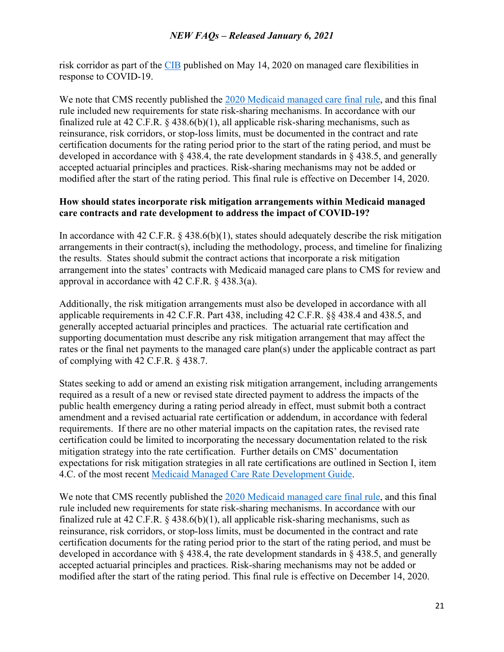risk corridor as part of the [CIB](https://www.medicaid.gov/sites/default/files/Federal-Policy-Guidance/Downloads/cib051420.pdf) published on May 14, 2020 on managed care flexibilities in response to COVID-19.

We note that CMS recently published the [2020 Medicaid managed care final rule,](https://www.federalregister.gov/documents/2020/11/13/2020-24758/medicaid-program-medicaid-and-childrens-health-insurance-program-chip-managed-care) and this final rule included new requirements for state risk-sharing mechanisms. In accordance with our finalized rule at 42 C.F.R.  $\S$  438.6(b)(1), all applicable risk-sharing mechanisms, such as reinsurance, risk corridors, or stop-loss limits, must be documented in the contract and rate certification documents for the rating period prior to the start of the rating period, and must be developed in accordance with § 438.4, the rate development standards in § 438.5, and generally accepted actuarial principles and practices. Risk-sharing mechanisms may not be added or modified after the start of the rating period. This final rule is effective on December 14, 2020.

#### **How should states incorporate risk mitigation arrangements within Medicaid managed care contracts and rate development to address the impact of COVID-19?**

In accordance with 42 C.F.R.  $\S$  438.6(b)(1), states should adequately describe the risk mitigation arrangements in their contract(s), including the methodology, process, and timeline for finalizing the results. States should submit the contract actions that incorporate a risk mitigation arrangement into the states' contracts with Medicaid managed care plans to CMS for review and approval in accordance with 42 C.F.R. § 438.3(a).

Additionally, the risk mitigation arrangements must also be developed in accordance with all applicable requirements in 42 C.F.R. Part 438, including 42 C.F.R. §§ 438.4 and 438.5, and generally accepted actuarial principles and practices. The actuarial rate certification and supporting documentation must describe any risk mitigation arrangement that may affect the rates or the final net payments to the managed care plan(s) under the applicable contract as part of complying with 42 C.F.R. § 438.7.

States seeking to add or amend an existing risk mitigation arrangement, including arrangements required as a result of a new or revised state directed payment to address the impacts of the public health emergency during a rating period already in effect, must submit both a contract amendment and a revised actuarial rate certification or addendum, in accordance with federal requirements. If there are no other material impacts on the capitation rates, the revised rate certification could be limited to incorporating the necessary documentation related to the risk mitigation strategy into the rate certification. Further details on CMS' documentation expectations for risk mitigation strategies in all rate certifications are outlined in Section I, item 4.C. of the most recent [Medicaid Managed Care Rate Development Guide.](https://www.medicaid.gov/medicaid/managed-care/downloads/2020-2021-medicaid-rate-guide.pdf)

We note that CMS recently published the [2020 Medicaid managed care final rule,](https://www.federalregister.gov/documents/2020/11/13/2020-24758/medicaid-program-medicaid-and-childrens-health-insurance-program-chip-managed-care) and this final rule included new requirements for state risk-sharing mechanisms. In accordance with our finalized rule at 42 C.F.R. § 438.6(b)(1), all applicable risk-sharing mechanisms, such as reinsurance, risk corridors, or stop-loss limits, must be documented in the contract and rate certification documents for the rating period prior to the start of the rating period, and must be developed in accordance with § 438.4, the rate development standards in § 438.5, and generally accepted actuarial principles and practices. Risk-sharing mechanisms may not be added or modified after the start of the rating period. This final rule is effective on December 14, 2020.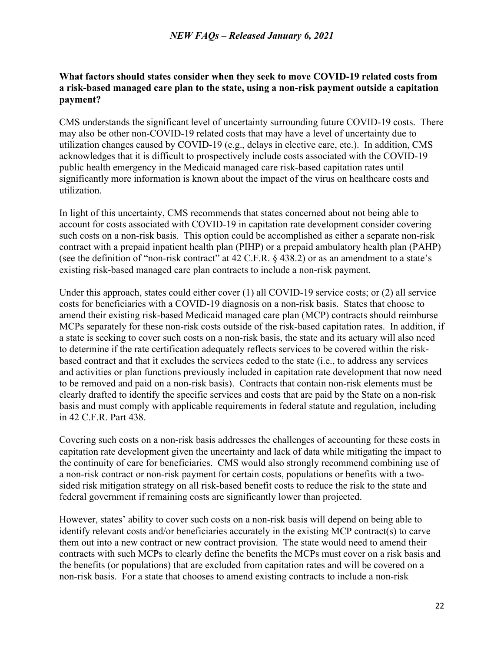### **What factors should states consider when they seek to move COVID-19 related costs from a risk-based managed care plan to the state, using a non-risk payment outside a capitation payment?**

CMS understands the significant level of uncertainty surrounding future COVID-19 costs. There may also be other non-COVID-19 related costs that may have a level of uncertainty due to utilization changes caused by COVID-19 (e.g., delays in elective care, etc.). In addition, CMS acknowledges that it is difficult to prospectively include costs associated with the COVID-19 public health emergency in the Medicaid managed care risk-based capitation rates until significantly more information is known about the impact of the virus on healthcare costs and utilization.

In light of this uncertainty, CMS recommends that states concerned about not being able to account for costs associated with COVID-19 in capitation rate development consider covering such costs on a non-risk basis. This option could be accomplished as either a separate non-risk contract with a prepaid inpatient health plan (PIHP) or a prepaid ambulatory health plan (PAHP) (see the definition of "non-risk contract" at 42 C.F.R. § 438.2) or as an amendment to a state's existing risk-based managed care plan contracts to include a non-risk payment.

Under this approach, states could either cover (1) all COVID-19 service costs; or (2) all service costs for beneficiaries with a COVID-19 diagnosis on a non-risk basis. States that choose to amend their existing risk-based Medicaid managed care plan (MCP) contracts should reimburse MCPs separately for these non-risk costs outside of the risk-based capitation rates. In addition, if a state is seeking to cover such costs on a non-risk basis, the state and its actuary will also need to determine if the rate certification adequately reflects services to be covered within the riskbased contract and that it excludes the services ceded to the state (i.e., to address any services and activities or plan functions previously included in capitation rate development that now need to be removed and paid on a non-risk basis). Contracts that contain non-risk elements must be clearly drafted to identify the specific services and costs that are paid by the State on a non-risk basis and must comply with applicable requirements in federal statute and regulation, including in 42 C.F.R. Part 438.

Covering such costs on a non-risk basis addresses the challenges of accounting for these costs in capitation rate development given the uncertainty and lack of data while mitigating the impact to the continuity of care for beneficiaries. CMS would also strongly recommend combining use of a non-risk contract or non-risk payment for certain costs, populations or benefits with a twosided risk mitigation strategy on all risk-based benefit costs to reduce the risk to the state and federal government if remaining costs are significantly lower than projected.

However, states' ability to cover such costs on a non-risk basis will depend on being able to identify relevant costs and/or beneficiaries accurately in the existing MCP contract(s) to carve them out into a new contract or new contract provision. The state would need to amend their contracts with such MCPs to clearly define the benefits the MCPs must cover on a risk basis and the benefits (or populations) that are excluded from capitation rates and will be covered on a non-risk basis. For a state that chooses to amend existing contracts to include a non-risk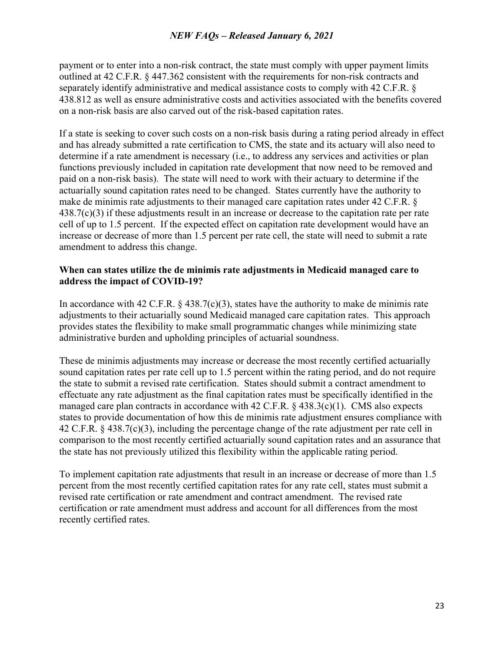payment or to enter into a non-risk contract, the state must comply with upper payment limits outlined at 42 C.F.R. § 447.362 consistent with the requirements for non-risk contracts and separately identify administrative and medical assistance costs to comply with 42 C.F.R. § 438.812 as well as ensure administrative costs and activities associated with the benefits covered on a non-risk basis are also carved out of the risk-based capitation rates.

If a state is seeking to cover such costs on a non-risk basis during a rating period already in effect and has already submitted a rate certification to CMS, the state and its actuary will also need to determine if a rate amendment is necessary (i.e., to address any services and activities or plan functions previously included in capitation rate development that now need to be removed and paid on a non-risk basis). The state will need to work with their actuary to determine if the actuarially sound capitation rates need to be changed. States currently have the authority to make de minimis rate adjustments to their managed care capitation rates under 42 C.F.R. § 438.7(c)(3) if these adjustments result in an increase or decrease to the capitation rate per rate cell of up to 1.5 percent. If the expected effect on capitation rate development would have an increase or decrease of more than 1.5 percent per rate cell, the state will need to submit a rate amendment to address this change.

#### **When can states utilize the de minimis rate adjustments in Medicaid managed care to address the impact of COVID-19?**

In accordance with 42 C.F.R.  $\frac{2438.7(c)(3)}{245}$ , states have the authority to make de minimis rate adjustments to their actuarially sound Medicaid managed care capitation rates. This approach provides states the flexibility to make small programmatic changes while minimizing state administrative burden and upholding principles of actuarial soundness.

These de minimis adjustments may increase or decrease the most recently certified actuarially sound capitation rates per rate cell up to 1.5 percent within the rating period, and do not require the state to submit a revised rate certification. States should submit a contract amendment to effectuate any rate adjustment as the final capitation rates must be specifically identified in the managed care plan contracts in accordance with 42 C.F.R. § 438.3(c)(1). CMS also expects states to provide documentation of how this de minimis rate adjustment ensures compliance with 42 C.F.R. § 438.7(c)(3), including the percentage change of the rate adjustment per rate cell in comparison to the most recently certified actuarially sound capitation rates and an assurance that the state has not previously utilized this flexibility within the applicable rating period.

To implement capitation rate adjustments that result in an increase or decrease of more than 1.5 percent from the most recently certified capitation rates for any rate cell, states must submit a revised rate certification or rate amendment and contract amendment. The revised rate certification or rate amendment must address and account for all differences from the most recently certified rates.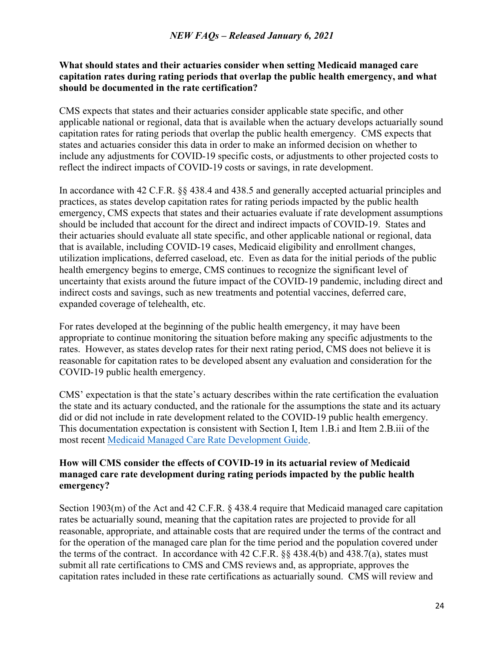### **What should states and their actuaries consider when setting Medicaid managed care capitation rates during rating periods that overlap the public health emergency, and what should be documented in the rate certification?**

CMS expects that states and their actuaries consider applicable state specific, and other applicable national or regional, data that is available when the actuary develops actuarially sound capitation rates for rating periods that overlap the public health emergency. CMS expects that states and actuaries consider this data in order to make an informed decision on whether to include any adjustments for COVID-19 specific costs, or adjustments to other projected costs to reflect the indirect impacts of COVID-19 costs or savings, in rate development.

In accordance with 42 C.F.R. §§ 438.4 and 438.5 and generally accepted actuarial principles and practices, as states develop capitation rates for rating periods impacted by the public health emergency, CMS expects that states and their actuaries evaluate if rate development assumptions should be included that account for the direct and indirect impacts of COVID-19. States and their actuaries should evaluate all state specific, and other applicable national or regional, data that is available, including COVID-19 cases, Medicaid eligibility and enrollment changes, utilization implications, deferred caseload, etc. Even as data for the initial periods of the public health emergency begins to emerge, CMS continues to recognize the significant level of uncertainty that exists around the future impact of the COVID-19 pandemic, including direct and indirect costs and savings, such as new treatments and potential vaccines, deferred care, expanded coverage of telehealth, etc.

For rates developed at the beginning of the public health emergency, it may have been appropriate to continue monitoring the situation before making any specific adjustments to the rates. However, as states develop rates for their next rating period, CMS does not believe it is reasonable for capitation rates to be developed absent any evaluation and consideration for the COVID-19 public health emergency.

CMS' expectation is that the state's actuary describes within the rate certification the evaluation the state and its actuary conducted, and the rationale for the assumptions the state and its actuary did or did not include in rate development related to the COVID-19 public health emergency. This documentation expectation is consistent with Section I, Item 1.B.i and Item 2.B.iii of the most recent [Medicaid Managed Care Rate Development Guide.](https://www.medicaid.gov/medicaid/managed-care/downloads/2020-2021-medicaid-rate-guide.pdf)

# **How will CMS consider the effects of COVID-19 in its actuarial review of Medicaid managed care rate development during rating periods impacted by the public health emergency?**

Section 1903(m) of the Act and 42 C.F.R. § 438.4 require that Medicaid managed care capitation rates be actuarially sound, meaning that the capitation rates are projected to provide for all reasonable, appropriate, and attainable costs that are required under the terms of the contract and for the operation of the managed care plan for the time period and the population covered under the terms of the contract. In accordance with 42 C.F.R. §§ 438.4(b) and 438.7(a), states must submit all rate certifications to CMS and CMS reviews and, as appropriate, approves the capitation rates included in these rate certifications as actuarially sound. CMS will review and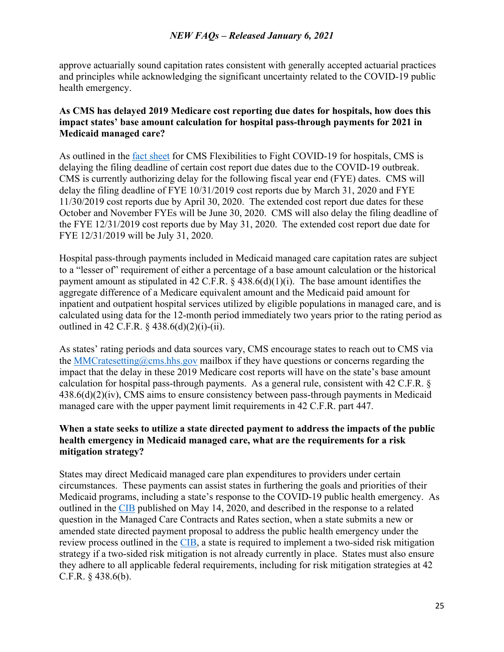approve actuarially sound capitation rates consistent with generally accepted actuarial practices and principles while acknowledging the significant uncertainty related to the COVID-19 public health emergency.

### **As CMS has delayed 2019 Medicare cost reporting due dates for hospitals, how does this impact states' base amount calculation for hospital pass-through payments for 2021 in Medicaid managed care?**

As outlined in the [fact sheet](https://www.cms.gov/files/document/covid-hospitals.pdf) for CMS Flexibilities to Fight COVID-19 for hospitals, CMS is delaying the filing deadline of certain cost report due dates due to the COVID-19 outbreak. CMS is currently authorizing delay for the following fiscal year end (FYE) dates. CMS will delay the filing deadline of FYE 10/31/2019 cost reports due by March 31, 2020 and FYE 11/30/2019 cost reports due by April 30, 2020. The extended cost report due dates for these October and November FYEs will be June 30, 2020. CMS will also delay the filing deadline of the FYE 12/31/2019 cost reports due by May 31, 2020. The extended cost report due date for FYE 12/31/2019 will be July 31, 2020.

Hospital pass-through payments included in Medicaid managed care capitation rates are subject to a "lesser of" requirement of either a percentage of a base amount calculation or the historical payment amount as stipulated in 42 C.F.R. § 438.6(d)(1)(i).The base amount identifies the aggregate difference of a Medicare equivalent amount and the Medicaid paid amount for inpatient and outpatient hospital services utilized by eligible populations in managed care, and is calculated using data for the 12-month period immediately two years prior to the rating period as outlined in 42 C.F.R. § 438.6(d)(2)(i)-(ii).

As states' rating periods and data sources vary, CMS encourage states to reach out to CMS via the [MMCratesetting@cms.hhs.gov](mailto:MMCratesetting@cms.hhs.gov) mailbox if they have questions or concerns regarding the impact that the delay in these 2019 Medicare cost reports will have on the state's base amount calculation for hospital pass-through payments. As a general rule, consistent with 42 C.F.R. § 438.6(d)(2)(iv), CMS aims to ensure consistency between pass-through payments in Medicaid managed care with the upper payment limit requirements in 42 C.F.R. part 447.

### **When a state seeks to utilize a state directed payment to address the impacts of the public health emergency in Medicaid managed care, what are the requirements for a risk mitigation strategy?**

States may direct Medicaid managed care plan expenditures to providers under certain circumstances. These payments can assist states in furthering the goals and priorities of their Medicaid programs, including a state's response to the COVID-19 public health emergency. As outlined in the [CIB](https://www.medicaid.gov/sites/default/files/Federal-Policy-Guidance/Downloads/cib051420.pdf) published on May 14, 2020, and described in the response to a related question in the Managed Care Contracts and Rates section, when a state submits a new or amended state directed payment proposal to address the public health emergency under the review process outlined in the [CIB,](https://www.medicaid.gov/sites/default/files/Federal-Policy-Guidance/Downloads/cib051420.pdf) a state is required to implement a two-sided risk mitigation strategy if a two-sided risk mitigation is not already currently in place. States must also ensure they adhere to all applicable federal requirements, including for risk mitigation strategies at 42 C.F.R. § 438.6(b).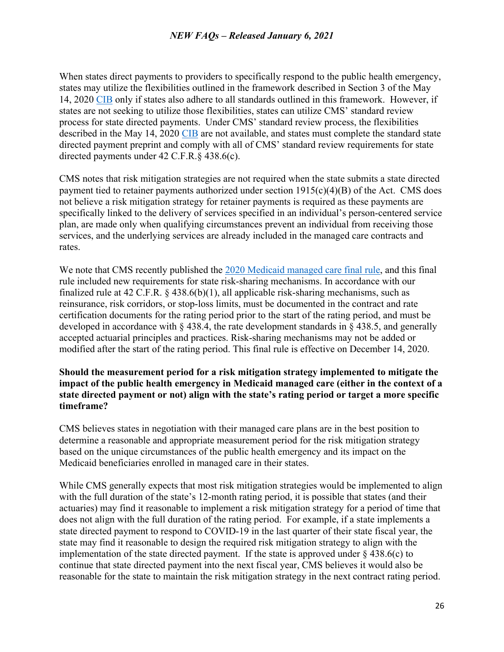When states direct payments to providers to specifically respond to the public health emergency, states may utilize the flexibilities outlined in the framework described in Section 3 of the May 14, 2020 [CIB](https://www.medicaid.gov/sites/default/files/Federal-Policy-Guidance/Downloads/cib051420.pdf) only if states also adhere to all standards outlined in this framework. However, if states are not seeking to utilize those flexibilities, states can utilize CMS' standard review process for state directed payments. Under CMS' standard review process, the flexibilities described in the May 14, 2020 [CIB](https://www.medicaid.gov/sites/default/files/Federal-Policy-Guidance/Downloads/cib051420.pdf) are not available, and states must complete the standard state directed payment preprint and comply with all of CMS' standard review requirements for state directed payments under 42 C.F.R.§ 438.6(c).

CMS notes that risk mitigation strategies are not required when the state submits a state directed payment tied to retainer payments authorized under section  $1915(c)(4)(B)$  of the Act. CMS does not believe a risk mitigation strategy for retainer payments is required as these payments are specifically linked to the delivery of services specified in an individual's person-centered service plan, are made only when qualifying circumstances prevent an individual from receiving those services, and the underlying services are already included in the managed care contracts and rates.

We note that CMS recently published the [2020 Medicaid managed care final rule,](https://www.federalregister.gov/documents/2020/11/13/2020-24758/medicaid-program-medicaid-and-childrens-health-insurance-program-chip-managed-care) and this final rule included new requirements for state risk-sharing mechanisms. In accordance with our finalized rule at 42 C.F.R.  $\S$  438.6(b)(1), all applicable risk-sharing mechanisms, such as reinsurance, risk corridors, or stop-loss limits, must be documented in the contract and rate certification documents for the rating period prior to the start of the rating period, and must be developed in accordance with § 438.4, the rate development standards in § 438.5, and generally accepted actuarial principles and practices. Risk-sharing mechanisms may not be added or modified after the start of the rating period. This final rule is effective on December 14, 2020.

### **Should the measurement period for a risk mitigation strategy implemented to mitigate the impact of the public health emergency in Medicaid managed care (either in the context of a state directed payment or not) align with the state's rating period or target a more specific timeframe?**

CMS believes states in negotiation with their managed care plans are in the best position to determine a reasonable and appropriate measurement period for the risk mitigation strategy based on the unique circumstances of the public health emergency and its impact on the Medicaid beneficiaries enrolled in managed care in their states.

While CMS generally expects that most risk mitigation strategies would be implemented to align with the full duration of the state's 12-month rating period, it is possible that states (and their actuaries) may find it reasonable to implement a risk mitigation strategy for a period of time that does not align with the full duration of the rating period. For example, if a state implements a state directed payment to respond to COVID-19 in the last quarter of their state fiscal year, the state may find it reasonable to design the required risk mitigation strategy to align with the implementation of the state directed payment. If the state is approved under  $\S$  438.6(c) to continue that state directed payment into the next fiscal year, CMS believes it would also be reasonable for the state to maintain the risk mitigation strategy in the next contract rating period.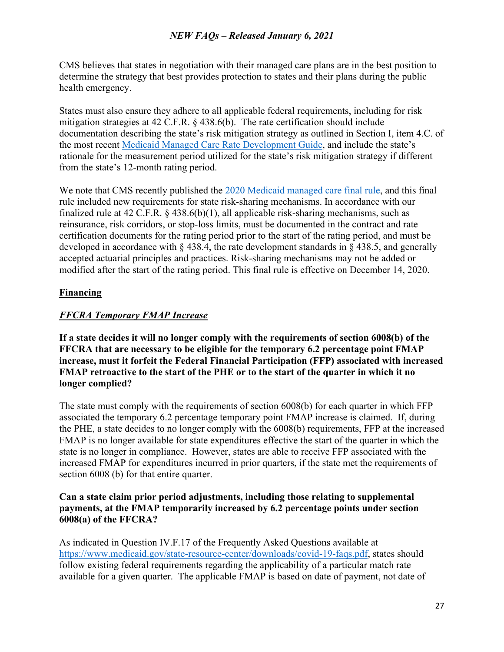CMS believes that states in negotiation with their managed care plans are in the best position to determine the strategy that best provides protection to states and their plans during the public health emergency.

States must also ensure they adhere to all applicable federal requirements, including for risk mitigation strategies at 42 C.F.R. § 438.6(b). The rate certification should include documentation describing the state's risk mitigation strategy as outlined in Section I, item 4.C. of the most recent [Medicaid Managed Care Rate Development Guide,](https://www.medicaid.gov/medicaid/managed-care/downloads/2020-2021-medicaid-rate-guide.pdf) and include the state's rationale for the measurement period utilized for the state's risk mitigation strategy if different from the state's 12-month rating period.

We note that CMS recently published the [2020 Medicaid managed care final rule,](https://www.federalregister.gov/documents/2020/11/13/2020-24758/medicaid-program-medicaid-and-childrens-health-insurance-program-chip-managed-care) and this final rule included new requirements for state risk-sharing mechanisms. In accordance with our finalized rule at 42 C.F.R.  $\S$  438.6(b)(1), all applicable risk-sharing mechanisms, such as reinsurance, risk corridors, or stop-loss limits, must be documented in the contract and rate certification documents for the rating period prior to the start of the rating period, and must be developed in accordance with  $\S$  438.4, the rate development standards in  $\S$  438.5, and generally accepted actuarial principles and practices. Risk-sharing mechanisms may not be added or modified after the start of the rating period. This final rule is effective on December 14, 2020.

# **Financing**

# *FFCRA Temporary FMAP Increase*

**If a state decides it will no longer comply with the requirements of section 6008(b) of the FFCRA that are necessary to be eligible for the temporary 6.2 percentage point FMAP increase, must it forfeit the Federal Financial Participation (FFP) associated with increased FMAP retroactive to the start of the PHE or to the start of the quarter in which it no longer complied?** 

The state must comply with the requirements of section 6008(b) for each quarter in which FFP associated the temporary 6.2 percentage temporary point FMAP increase is claimed. If, during the PHE, a state decides to no longer comply with the 6008(b) requirements, FFP at the increased FMAP is no longer available for state expenditures effective the start of the quarter in which the state is no longer in compliance. However, states are able to receive FFP associated with the increased FMAP for expenditures incurred in prior quarters, if the state met the requirements of section 6008 (b) for that entire quarter.

### **Can a state claim prior period adjustments, including those relating to supplemental payments, at the FMAP temporarily increased by 6.2 percentage points under section 6008(a) of the FFCRA?**

As indicated in Question IV.F.17 of the Frequently Asked Questions available at [https://www.medicaid.gov/state-resource-center/downloads/covid-19-faqs.pdf,](https://www.medicaid.gov/state-resource-center/downloads/covid-19-faqs.pdf) states should follow existing federal requirements regarding the applicability of a particular match rate available for a given quarter. The applicable FMAP is based on date of payment, not date of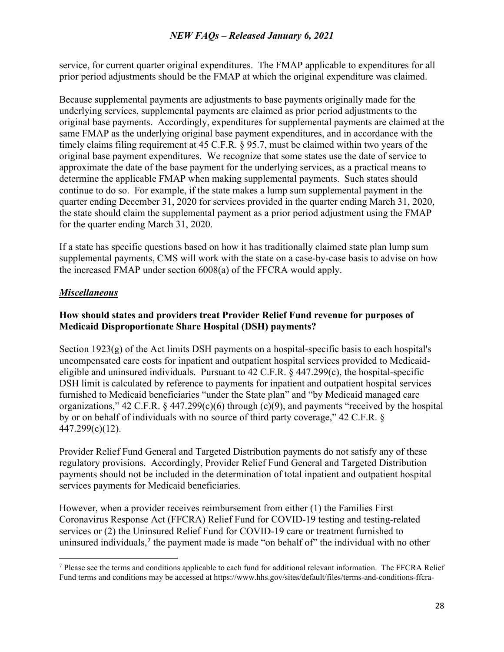service, for current quarter original expenditures. The FMAP applicable to expenditures for all prior period adjustments should be the FMAP at which the original expenditure was claimed.

Because supplemental payments are adjustments to base payments originally made for the underlying services, supplemental payments are claimed as prior period adjustments to the original base payments. Accordingly, expenditures for supplemental payments are claimed at the same FMAP as the underlying original base payment expenditures, and in accordance with the timely claims filing requirement at 45 C.F.R. § 95.7, must be claimed within two years of the original base payment expenditures. We recognize that some states use the date of service to approximate the date of the base payment for the underlying services, as a practical means to determine the applicable FMAP when making supplemental payments. Such states should continue to do so. For example, if the state makes a lump sum supplemental payment in the quarter ending December 31, 2020 for services provided in the quarter ending March 31, 2020, the state should claim the supplemental payment as a prior period adjustment using the FMAP for the quarter ending March 31, 2020.

If a state has specific questions based on how it has traditionally claimed state plan lump sum supplemental payments, CMS will work with the state on a case-by-case basis to advise on how the increased FMAP under section 6008(a) of the FFCRA would apply.

### *Miscellaneous*

### **How should states and providers treat Provider Relief Fund revenue for purposes of Medicaid Disproportionate Share Hospital (DSH) payments?**

Section  $1923(g)$  of the Act limits DSH payments on a hospital-specific basis to each hospital's uncompensated care costs for inpatient and outpatient hospital services provided to Medicaideligible and uninsured individuals. Pursuant to 42 C.F.R. § 447.299(c), the hospital-specific DSH limit is calculated by reference to payments for inpatient and outpatient hospital services furnished to Medicaid beneficiaries "under the State plan" and "by Medicaid managed care organizations," 42 C.F.R.  $\frac{6}{9}$  447.299(c)(6) through (c)(9), and payments "received by the hospital by or on behalf of individuals with no source of third party coverage," 42 C.F.R. § 447.299(c)(12).

Provider Relief Fund General and Targeted Distribution payments do not satisfy any of these regulatory provisions. Accordingly, Provider Relief Fund General and Targeted Distribution payments should not be included in the determination of total inpatient and outpatient hospital services payments for Medicaid beneficiaries.

However, when a provider receives reimbursement from either (1) the Families First Coronavirus Response Act (FFCRA) Relief Fund for COVID-19 testing and testing-related services or (2) the Uninsured Relief Fund for COVID-19 care or treatment furnished to uninsured individuals,<sup>[7](#page-27-0)</sup> the payment made is made "on behalf of" the individual with no other

<span id="page-27-0"></span><sup>7</sup> Please see the terms and conditions applicable to each fund for additional relevant information. The FFCRA Relief Fund terms and conditions may be accessed a[t https://www.hhs.gov/sites/default/files/terms-and-conditions-ffcra-](https://www.hhs.gov/sites/default/files/terms-and-conditions-ffcra-relief-fund.pdf)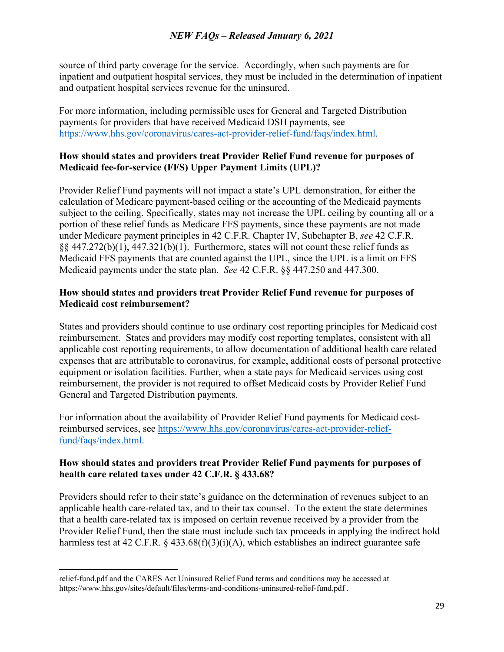source of third party coverage for the service. Accordingly, when such payments are for inpatient and outpatient hospital services, they must be included in the determination of inpatient and outpatient hospital services revenue for the uninsured.

For more information, including permissible uses for General and Targeted Distribution payments for providers that have received Medicaid DSH payments, see [https://www.hhs.gov/coronavirus/cares-act-provider-relief-fund/faqs/index.html.](https://www.hhs.gov/coronavirus/cares-act-provider-relief-fund/faqs/index.html)

### **How should states and providers treat Provider Relief Fund revenue for purposes of Medicaid fee-for-service (FFS) Upper Payment Limits (UPL)?**

Provider Relief Fund payments will not impact a state's UPL demonstration, for either the calculation of Medicare payment-based ceiling or the accounting of the Medicaid payments subject to the ceiling. Specifically, states may not increase the UPL ceiling by counting all or a portion of these relief funds as Medicare FFS payments, since these payments are not made under Medicare payment principles in 42 C.F.R. Chapter IV, Subchapter B, *see* 42 C.F.R. §§ 447.272(b)(1), 447.321(b)(1). Furthermore, states will not count these relief funds as Medicaid FFS payments that are counted against the UPL, since the UPL is a limit on FFS Medicaid payments under the state plan. *See* 42 C.F.R. §§ 447.250 and 447.300.

### **How should states and providers treat Provider Relief Fund revenue for purposes of Medicaid cost reimbursement?**

States and providers should continue to use ordinary cost reporting principles for Medicaid cost reimbursement. States and providers may modify cost reporting templates, consistent with all applicable cost reporting requirements, to allow documentation of additional health care related expenses that are attributable to coronavirus, for example, additional costs of personal protective equipment or isolation facilities. Further, when a state pays for Medicaid services using cost reimbursement, the provider is not required to offset Medicaid costs by Provider Relief Fund General and Targeted Distribution payments.

For information about the availability of Provider Relief Fund payments for Medicaid costreimbursed services, see [https://www.hhs.gov/coronavirus/cares-act-provider-relief](https://www.hhs.gov/coronavirus/cares-act-provider-relief-fund/faqs/index.html)[fund/faqs/index.html.](https://www.hhs.gov/coronavirus/cares-act-provider-relief-fund/faqs/index.html)

# **How should states and providers treat Provider Relief Fund payments for purposes of health care related taxes under 42 C.F.R. § 433.68?**

Providers should refer to their state's guidance on the determination of revenues subject to an applicable health care-related tax, and to their tax counsel. To the extent the state determines that a health care-related tax is imposed on certain revenue received by a provider from the Provider Relief Fund, then the state must include such tax proceeds in applying the indirect hold harmless test at 42 C.F.R.  $\S$  433.68(f)(3)(i)(A), which establishes an indirect guarantee safe

[relief-fund.pdf](https://www.hhs.gov/sites/default/files/terms-and-conditions-ffcra-relief-fund.pdf) and the CARES Act Uninsured Relief Fund terms and conditions may be accessed at <https://www.hhs.gov/sites/default/files/terms-and-conditions-uninsured-relief-fund.pdf>.